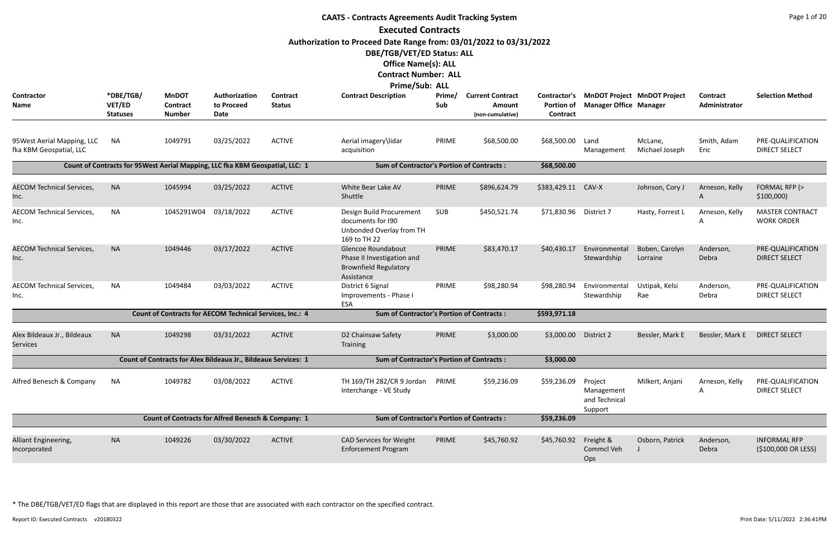| <b>CAATS - Contracts Agreements Audit Tracking System</b> |                                               |                                                                               |                                            |                                  |                                                                                                |               |                                                       |                               |                                                                           |                            |                                  |                                             |  |
|-----------------------------------------------------------|-----------------------------------------------|-------------------------------------------------------------------------------|--------------------------------------------|----------------------------------|------------------------------------------------------------------------------------------------|---------------|-------------------------------------------------------|-------------------------------|---------------------------------------------------------------------------|----------------------------|----------------------------------|---------------------------------------------|--|
|                                                           |                                               |                                                                               |                                            |                                  | <b>Executed Contracts</b>                                                                      |               |                                                       |                               |                                                                           |                            |                                  |                                             |  |
|                                                           |                                               |                                                                               |                                            |                                  | Authorization to Proceed Date Range from: 03/01/2022 to 03/31/2022                             |               |                                                       |                               |                                                                           |                            |                                  |                                             |  |
|                                                           |                                               |                                                                               |                                            |                                  | DBE/TGB/VET/ED Status: ALL                                                                     |               |                                                       |                               |                                                                           |                            |                                  |                                             |  |
|                                                           |                                               |                                                                               |                                            |                                  | <b>Office Name(s): ALL</b>                                                                     |               |                                                       |                               |                                                                           |                            |                                  |                                             |  |
|                                                           |                                               |                                                                               |                                            |                                  | <b>Contract Number: ALL</b>                                                                    |               |                                                       |                               |                                                                           |                            |                                  |                                             |  |
|                                                           |                                               |                                                                               |                                            |                                  | <b>Prime/Sub: ALL</b>                                                                          |               |                                                       |                               |                                                                           |                            |                                  |                                             |  |
| Contractor<br><b>Name</b>                                 | *DBE/TGB/<br><b>VET/ED</b><br><b>Statuses</b> | <b>MnDOT</b><br>Contract<br><b>Number</b>                                     | Authorization<br>to Proceed<br><b>Date</b> | <b>Contract</b><br><b>Status</b> | <b>Contract Description</b>                                                                    | Prime/<br>Sub | <b>Current Contract</b><br>Amount<br>(non-cumulative) | <b>Portion of</b><br>Contract | Contractor's MnDOT Project MnDOT Project<br><b>Manager Office Manager</b> |                            | <b>Contract</b><br>Administrator | <b>Selection Method</b>                     |  |
| 95 West Aerial Mapping, LLC<br>fka KBM Geospatial, LLC    | NA                                            | 1049791                                                                       | 03/25/2022                                 | <b>ACTIVE</b>                    | Aerial imagery\lidar<br>acquisition                                                            | PRIME         | \$68,500.00                                           | \$68,500.00                   | Land<br>Management                                                        | McLane,<br>Michael Joseph  | Smith, Adam<br>Eric              | PRE-QUALIFICATION<br><b>DIRECT SELECT</b>   |  |
|                                                           |                                               | Count of Contracts for 95 West Aerial Mapping, LLC fka KBM Geospatial, LLC: 1 |                                            |                                  | <b>Sum of Contractor's Portion of Contracts:</b>                                               |               |                                                       | \$68,500.00                   |                                                                           |                            |                                  |                                             |  |
| <b>AECOM Technical Services,</b><br>Inc.                  | <b>NA</b>                                     | 1045994                                                                       | 03/25/2022                                 | <b>ACTIVE</b>                    | White Bear Lake AV<br>Shuttle                                                                  | PRIME         | \$896,624.79                                          | \$383,429.11                  | CAV-X                                                                     | Johnson, Cory J            | Arneson, Kelly<br>A              | FORMAL RFP (><br>\$100,000                  |  |
| <b>AECOM Technical Services,</b><br>Inc.                  | <b>NA</b>                                     | 1045291W04                                                                    | 03/18/2022                                 | <b>ACTIVE</b>                    | Design Build Procurement<br>documents for 190<br>Unbonded Overlay from TH<br>169 to TH 22      | <b>SUB</b>    | \$450,521.74                                          | \$71,830.96                   | District 7                                                                | Hasty, Forrest L           | Arneson, Kelly<br>Α              | <b>MASTER CONTRACT</b><br><b>WORK ORDER</b> |  |
| <b>AECOM Technical Services,</b><br>Inc.                  | <b>NA</b>                                     | 1049446                                                                       | 03/17/2022                                 | <b>ACTIVE</b>                    | Glencoe Roundabout<br>Phase II Investigation and<br><b>Brownfield Regulatory</b><br>Assistance | PRIME         | \$83,470.17                                           | \$40,430.17                   | Environmental<br>Stewardship                                              | Boben, Carolyn<br>Lorraine | Anderson,<br>Debra               | PRE-QUALIFICATION<br><b>DIRECT SELECT</b>   |  |
| <b>AECOM Technical Services,</b><br>Inc.                  | <b>NA</b>                                     | 1049484                                                                       | 03/03/2022                                 | <b>ACTIVE</b>                    | District 6 Signal<br>Improvements - Phase I<br>ESA                                             | PRIME         | \$98,280.94                                           | \$98,280.94                   | Environmental<br>Stewardship                                              | Ustipak, Kelsi<br>Rae      | Anderson,<br>Debra               | PRE-QUALIFICATION<br><b>DIRECT SELECT</b>   |  |
|                                                           |                                               | Count of Contracts for AECOM Technical Services, Inc.: 4                      |                                            |                                  | <b>Sum of Contractor's Portion of Contracts:</b>                                               |               |                                                       | \$593,971.18                  |                                                                           |                            |                                  |                                             |  |
| Alex Bildeaux Jr., Bildeaux<br><b>Services</b>            | <b>NA</b>                                     | 1049298                                                                       | 03/31/2022                                 | <b>ACTIVE</b>                    | D2 Chainsaw Safety<br>Training                                                                 | PRIME         | \$3,000.00                                            | \$3,000.00                    | District 2                                                                | Bessler, Mark E            | Bessler, Mark E                  | <b>DIRECT SELECT</b>                        |  |
|                                                           |                                               | Count of Contracts for Alex Bildeaux Jr., Bildeaux Services: 1                |                                            |                                  | <b>Sum of Contractor's Portion of Contracts:</b>                                               |               |                                                       | \$3,000.00                    |                                                                           |                            |                                  |                                             |  |
| Alfred Benesch & Company                                  | <b>NA</b>                                     | 1049782                                                                       | 03/08/2022                                 | <b>ACTIVE</b>                    | TH 169/TH 282/CR 9 Jordan<br>Interchange - VE Study                                            | PRIME         | \$59,236.09                                           | \$59,236.09                   | Project<br>Management<br>and Technical<br>Support                         | Milkert, Anjani            | Arneson, Kelly<br>Α              | PRE-QUALIFICATION<br><b>DIRECT SELECT</b>   |  |
|                                                           |                                               | <b>Count of Contracts for Alfred Benesch &amp; Company: 1</b>                 |                                            |                                  | <b>Sum of Contractor's Portion of Contracts:</b>                                               |               |                                                       | \$59,236.09                   |                                                                           |                            |                                  |                                             |  |
| Alliant Engineering,<br>Incorporated                      | <b>NA</b>                                     | 1049226                                                                       | 03/30/2022                                 | <b>ACTIVE</b>                    | <b>CAD Services for Weight</b><br><b>Enforcement Program</b>                                   | PRIME         | \$45,760.92                                           | \$45,760.92                   | Freight &<br>Commcl Veh<br>Ops                                            | Osborn, Patrick            | Anderson,<br>Debra               | <b>INFORMAL RFP</b><br>(\$100,000 OR LESS)  |  |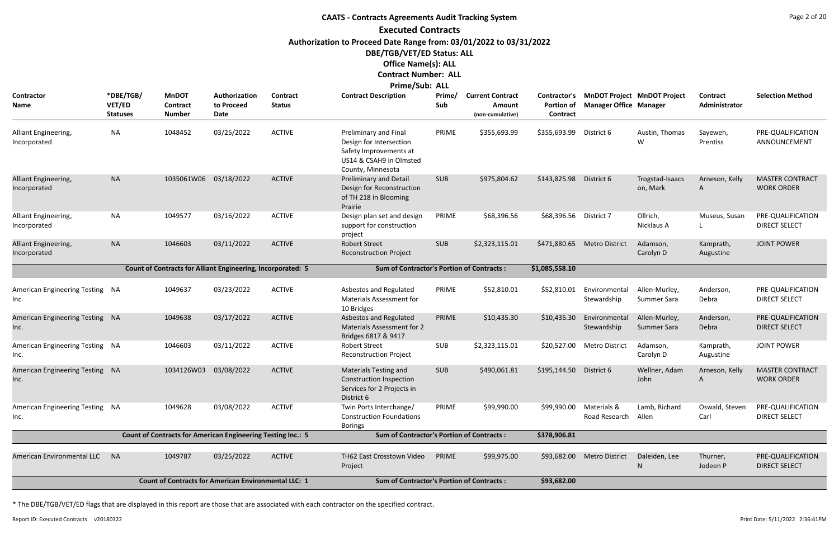# **CAATS - Contracts Agreements Audit Tracking System Executed Contracts Authorization to Proceed Date Range from: 03/01/2022 to 03/31/2022 DBE/TGB/VET/ED Status: ALL Office Name(s): ALL**

# **Contract Number: ALL**

| Prime/Sub: ALL |  |  |
|----------------|--|--|
|----------------|--|--|

| Contractor<br><b>Name</b>               | *DBE/TGB/<br><b>VET/ED</b><br><b>Statuses</b>               | <b>MnDOT</b><br>Contract<br><b>Number</b>                          | Authorization<br>to Proceed<br>Date | <b>Contract</b><br><b>Status</b> | <b>Contract Description</b>                                                                                                | Prime/<br>Sub | <b>Current Contract</b><br><b>Amount</b><br>(non-cumulative) | Contractor's<br>Portion of<br>Contract | <b>MnDOT Project MnDOT Project</b><br><b>Manager Office Manager</b> |                              | <b>Contract</b><br>Administrator | <b>Selection Method</b>                     |
|-----------------------------------------|-------------------------------------------------------------|--------------------------------------------------------------------|-------------------------------------|----------------------------------|----------------------------------------------------------------------------------------------------------------------------|---------------|--------------------------------------------------------------|----------------------------------------|---------------------------------------------------------------------|------------------------------|----------------------------------|---------------------------------------------|
| Alliant Engineering,<br>Incorporated    | <b>NA</b>                                                   | 1048452                                                            | 03/25/2022                          | <b>ACTIVE</b>                    | Preliminary and Final<br>Design for Intersection<br>Safety Improvements at<br>US14 & CSAH9 in Olmsted<br>County, Minnesota | PRIME         | \$355,693.99                                                 | \$355,693.99                           | District 6                                                          | Austin, Thomas<br>W          | Sayeweh,<br>Prentiss             | PRE-QUALIFICATION<br>ANNOUNCEMENT           |
| Alliant Engineering,<br>Incorporated    | <b>NA</b>                                                   | 1035061W06                                                         | 03/18/2022                          | <b>ACTIVE</b>                    | Preliminary and Detail<br>Design for Reconstruction<br>of TH 218 in Blooming<br>Prairie                                    | <b>SUB</b>    | \$975,804.62                                                 | \$143,825.98                           | District 6                                                          | Trogstad-Isaacs<br>on, Mark  | Arneson, Kelly<br>A              | <b>MASTER CONTRACT</b><br><b>WORK ORDER</b> |
| Alliant Engineering,<br>Incorporated    | <b>NA</b>                                                   | 1049577                                                            | 03/16/2022                          | <b>ACTIVE</b>                    | Design plan set and design<br>support for construction<br>project                                                          | PRIME         | \$68,396.56                                                  | \$68,396.56                            | District 7                                                          | Ollrich,<br>Nicklaus A       | Museus, Susan                    | PRE-QUALIFICATION<br><b>DIRECT SELECT</b>   |
| Alliant Engineering,<br>Incorporated    | <b>NA</b>                                                   | 1046603                                                            | 03/11/2022                          | <b>ACTIVE</b>                    | <b>Robert Street</b><br><b>Reconstruction Project</b>                                                                      | <b>SUB</b>    | \$2,323,115.01                                               | \$471,880.65                           | <b>Metro District</b>                                               | Adamson,<br>Carolyn D        | Kamprath,<br>Augustine           | <b>JOINT POWER</b>                          |
|                                         |                                                             | <b>Count of Contracts for Alliant Engineering, Incorporated: 5</b> |                                     |                                  | <b>Sum of Contractor's Portion of Contracts:</b>                                                                           |               |                                                              | \$1,085,558.10                         |                                                                     |                              |                                  |                                             |
| American Engineering Testing NA<br>Inc. |                                                             | 1049637                                                            | 03/23/2022                          | <b>ACTIVE</b>                    | <b>Asbestos and Regulated</b><br><b>Materials Assessment for</b><br>10 Bridges                                             | PRIME         | \$52,810.01                                                  | \$52,810.01                            | Environmental<br>Stewardship                                        | Allen-Murley,<br>Summer Sara | Anderson,<br>Debra               | PRE-QUALIFICATION<br><b>DIRECT SELECT</b>   |
| American Engineering Testing NA<br>Inc. |                                                             | 1049638                                                            | 03/17/2022                          | <b>ACTIVE</b>                    | Asbestos and Regulated<br><b>Materials Assessment for 2</b><br>Bridges 6817 & 9417                                         | PRIME         | \$10,435.30                                                  | \$10,435.30                            | Environmental<br>Stewardship                                        | Allen-Murley,<br>Summer Sara | Anderson,<br>Debra               | PRE-QUALIFICATION<br><b>DIRECT SELECT</b>   |
| American Engineering Testing NA<br>Inc. |                                                             | 1046603                                                            | 03/11/2022                          | <b>ACTIVE</b>                    | <b>Robert Street</b><br><b>Reconstruction Project</b>                                                                      | SUB           | \$2,323,115.01                                               | \$20,527.00                            | <b>Metro District</b>                                               | Adamson,<br>Carolyn D        | Kamprath,<br>Augustine           | <b>JOINT POWER</b>                          |
| American Engineering Testing NA<br>Inc. |                                                             | 1034126W03                                                         | 03/08/2022                          | <b>ACTIVE</b>                    | <b>Materials Testing and</b><br>Construction Inspection<br>Services for 2 Projects in<br>District 6                        | <b>SUB</b>    | \$490,061.81                                                 | \$195,144.50                           | District 6                                                          | Wellner, Adam<br>John        | Arneson, Kelly<br>A              | <b>MASTER CONTRACT</b><br><b>WORK ORDER</b> |
| American Engineering Testing NA<br>Inc. |                                                             | 1049628                                                            | 03/08/2022                          | <b>ACTIVE</b>                    | Twin Ports Interchange/<br><b>Construction Foundations</b><br><b>Borings</b>                                               | PRIME         | \$99,990.00                                                  | \$99,990.00                            | Materials &<br>Road Research                                        | Lamb, Richard<br>Allen       | Oswald, Steven<br>Carl           | PRE-QUALIFICATION<br><b>DIRECT SELECT</b>   |
|                                         |                                                             | <b>Count of Contracts for American Engineering Testing Inc.: 5</b> |                                     |                                  | <b>Sum of Contractor's Portion of Contracts:</b>                                                                           |               |                                                              | \$378,906.81                           |                                                                     |                              |                                  |                                             |
| <b>American Environmental LLC</b>       | <b>NA</b>                                                   | 1049787                                                            | 03/25/2022                          | <b>ACTIVE</b>                    | TH62 East Crosstown Video<br>Project                                                                                       | PRIME         | \$99,975.00                                                  |                                        | \$93,682.00 Metro District                                          | Daleiden, Lee<br>N           | Thurner,<br>Jodeen P             | PRE-QUALIFICATION<br><b>DIRECT SELECT</b>   |
|                                         | <b>Count of Contracts for American Environmental LLC: 1</b> |                                                                    |                                     |                                  | <b>Sum of Contractor's Portion of Contracts:</b>                                                                           |               |                                                              | \$93,682.00                            |                                                                     |                              |                                  |                                             |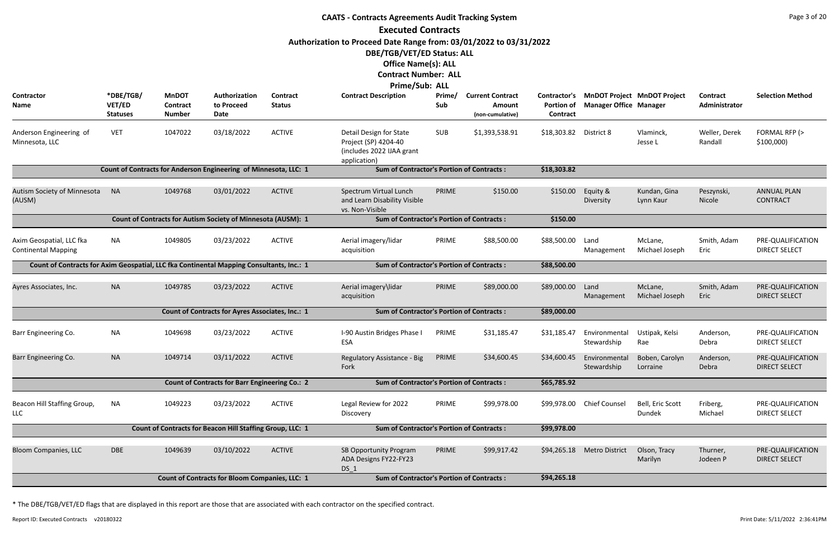|                                                                                          | <b>CAATS - Contracts Agreements Audit Tracking System</b> |                                                  |                                                                  |                           |                                                                                              |                                                  |                                                       |                                                      |                               |                                    |                           |                                           |  |
|------------------------------------------------------------------------------------------|-----------------------------------------------------------|--------------------------------------------------|------------------------------------------------------------------|---------------------------|----------------------------------------------------------------------------------------------|--------------------------------------------------|-------------------------------------------------------|------------------------------------------------------|-------------------------------|------------------------------------|---------------------------|-------------------------------------------|--|
|                                                                                          |                                                           |                                                  |                                                                  |                           | <b>Executed Contracts</b>                                                                    |                                                  |                                                       |                                                      |                               |                                    |                           |                                           |  |
|                                                                                          |                                                           |                                                  |                                                                  |                           | Authorization to Proceed Date Range from: 03/01/2022 to 03/31/2022                           |                                                  |                                                       |                                                      |                               |                                    |                           |                                           |  |
|                                                                                          |                                                           |                                                  |                                                                  |                           | DBE/TGB/VET/ED Status: ALL                                                                   |                                                  |                                                       |                                                      |                               |                                    |                           |                                           |  |
|                                                                                          |                                                           |                                                  |                                                                  |                           | <b>Office Name(s): ALL</b>                                                                   |                                                  |                                                       |                                                      |                               |                                    |                           |                                           |  |
|                                                                                          |                                                           |                                                  |                                                                  |                           | <b>Contract Number: ALL</b>                                                                  |                                                  |                                                       |                                                      |                               |                                    |                           |                                           |  |
|                                                                                          |                                                           |                                                  |                                                                  |                           | Prime/Sub: ALL                                                                               |                                                  |                                                       |                                                      |                               |                                    |                           |                                           |  |
| Contractor<br>Name                                                                       | *DBE/TGB/<br>VET/ED<br><b>Statuses</b>                    | <b>MnDOT</b><br><b>Contract</b><br><b>Number</b> | Authorization<br>to Proceed<br>Date                              | Contract<br><b>Status</b> | <b>Contract Description</b>                                                                  | Prime/<br>Sub                                    | <b>Current Contract</b><br>Amount<br>(non-cumulative) | <b>Contractor's</b><br><b>Portion of</b><br>Contract | <b>Manager Office Manager</b> | <b>MnDOT Project MnDOT Project</b> | Contract<br>Administrator | <b>Selection Method</b>                   |  |
| Anderson Engineering of<br>Minnesota, LLC                                                | <b>VET</b>                                                | 1047022                                          | 03/18/2022                                                       | <b>ACTIVE</b>             | Detail Design for State<br>Project (SP) 4204-40<br>(includes 2022 IJAA grant<br>application) | <b>SUB</b>                                       | \$1,393,538.91                                        | \$18,303.82                                          | District 8                    | Vlaminck,<br>Jesse L               | Weller, Derek<br>Randall  | FORMAL RFP (><br>\$100,000                |  |
|                                                                                          |                                                           |                                                  | Count of Contracts for Anderson Engineering of Minnesota, LLC: 1 |                           | <b>Sum of Contractor's Portion of Contracts:</b>                                             |                                                  |                                                       | \$18,303.82                                          |                               |                                    |                           |                                           |  |
| Autism Society of Minnesota<br>(AUSM)                                                    | <b>NA</b>                                                 | 1049768                                          | 03/01/2022                                                       | <b>ACTIVE</b>             | Spectrum Virtual Lunch<br>and Learn Disability Visible                                       | PRIME                                            | \$150.00                                              | \$150.00                                             | Equity &<br>Diversity         | Kundan, Gina<br>Lynn Kaur          | Peszynski,<br>Nicole      | <b>ANNUAL PLAN</b><br><b>CONTRACT</b>     |  |
|                                                                                          |                                                           |                                                  |                                                                  |                           | vs. Non-Visible                                                                              |                                                  |                                                       | \$150.00                                             |                               |                                    |                           |                                           |  |
|                                                                                          |                                                           |                                                  | Count of Contracts for Autism Society of Minnesota (AUSM): 1     |                           |                                                                                              | <b>Sum of Contractor's Portion of Contracts:</b> |                                                       |                                                      |                               |                                    |                           |                                           |  |
| Axim Geospatial, LLC fka<br><b>Continental Mapping</b>                                   | <b>NA</b>                                                 | 1049805                                          | 03/23/2022                                                       | <b>ACTIVE</b>             | Aerial imagery/lidar<br>acquisition                                                          | PRIME                                            | \$88,500.00                                           | \$88,500.00                                          | Land<br>Management            | McLane,<br>Michael Joseph          | Smith, Adam<br>Eric       | PRE-QUALIFICATION<br><b>DIRECT SELECT</b> |  |
| Count of Contracts for Axim Geospatial, LLC fka Continental Mapping Consultants, Inc.: 1 |                                                           |                                                  |                                                                  |                           | <b>Sum of Contractor's Portion of Contracts:</b>                                             |                                                  |                                                       | \$88,500.00                                          |                               |                                    |                           |                                           |  |
| Ayres Associates, Inc.                                                                   | <b>NA</b>                                                 | 1049785                                          | 03/23/2022                                                       | <b>ACTIVE</b>             | Aerial imagery\lidar<br>acquisition                                                          | PRIME                                            | \$89,000.00                                           | \$89,000.00                                          | Land<br>Management            | McLane,<br>Michael Joseph          | Smith, Adam<br>Eric       | PRE-QUALIFICATION<br><b>DIRECT SELECT</b> |  |
|                                                                                          |                                                           |                                                  | <b>Count of Contracts for Ayres Associates, Inc.: 1</b>          |                           | <b>Sum of Contractor's Portion of Contracts:</b>                                             |                                                  |                                                       | \$89,000.00                                          |                               |                                    |                           |                                           |  |
| Barr Engineering Co.                                                                     | <b>NA</b>                                                 | 1049698                                          | 03/23/2022                                                       | <b>ACTIVE</b>             | I-90 Austin Bridges Phase I<br>ESA                                                           | PRIME                                            | \$31,185.47                                           | \$31,185.47                                          | Environmental<br>Stewardship  | Ustipak, Kelsi<br>Rae              | Anderson,<br>Debra        | PRE-QUALIFICATION<br><b>DIRECT SELECT</b> |  |
| Barr Engineering Co.                                                                     | <b>NA</b>                                                 | 1049714                                          | 03/11/2022                                                       | <b>ACTIVE</b>             | Regulatory Assistance - Big<br>Fork                                                          | PRIME                                            | \$34,600.45                                           | \$34,600.45                                          | Environmental<br>Stewardship  | Boben, Carolyn<br>Lorraine         | Anderson,<br>Debra        | PRE-QUALIFICATION<br><b>DIRECT SELECT</b> |  |
|                                                                                          |                                                           |                                                  | <b>Count of Contracts for Barr Engineering Co.: 2</b>            |                           | <b>Sum of Contractor's Portion of Contracts:</b>                                             |                                                  |                                                       | \$65,785.92                                          |                               |                                    |                           |                                           |  |
| Beacon Hill Staffing Group,<br><b>LLC</b>                                                | <b>NA</b>                                                 | 1049223                                          | 03/23/2022                                                       | <b>ACTIVE</b>             | Legal Review for 2022<br>Discovery                                                           | PRIME                                            | \$99,978.00                                           |                                                      | \$99,978.00 Chief Counsel     | Bell, Eric Scott<br>Dundek         | Friberg,<br>Michael       | PRE-QUALIFICATION<br><b>DIRECT SELECT</b> |  |
|                                                                                          |                                                           |                                                  | Count of Contracts for Beacon Hill Staffing Group, LLC: 1        |                           | <b>Sum of Contractor's Portion of Contracts:</b>                                             |                                                  |                                                       | \$99,978.00                                          |                               |                                    |                           |                                           |  |
| <b>Bloom Companies, LLC</b>                                                              | <b>DBE</b>                                                | 1049639                                          | 03/10/2022                                                       | <b>ACTIVE</b>             | SB Opportunity Program<br>ADA Designs FY22-FY23<br>DS 1                                      | PRIME                                            | \$99,917.42                                           | \$94,265.18                                          | <b>Metro District</b>         | Olson, Tracy<br>Marilyn            | Thurner,<br>Jodeen P      | PRE-QUALIFICATION<br><b>DIRECT SELECT</b> |  |
|                                                                                          |                                                           |                                                  | <b>Count of Contracts for Bloom Companies, LLC: 1</b>            |                           | <b>Sum of Contractor's Portion of Contracts:</b>                                             |                                                  |                                                       | \$94,265.18                                          |                               |                                    |                           |                                           |  |
|                                                                                          |                                                           |                                                  |                                                                  |                           |                                                                                              |                                                  |                                                       |                                                      |                               |                                    |                           |                                           |  |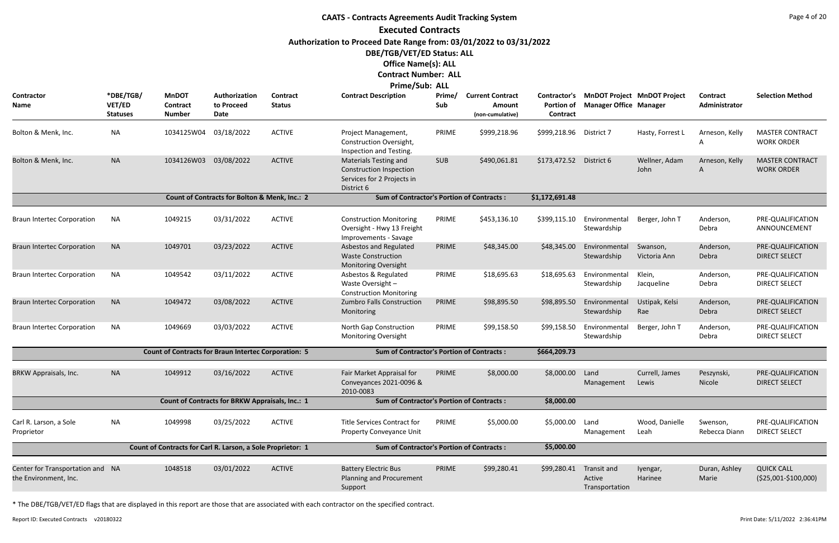# **CAATS - Contracts Agreements Audit Tracking System Executed Contracts Authorization to Proceed Date Range from: 03/01/2022 to 03/31/2022 DBE/TGB/VET/ED Status: ALL Office Name(s): ALL**

#### **Contract Number: ALL Prime/Sub: ALL**

|                                                           |                                               |                                                             |                                                 |                           | <b>FIBUC/JUD. ALL</b>                                                                                      |               |                                                       |                                                      |                                         |                                    |                           |                                             |
|-----------------------------------------------------------|-----------------------------------------------|-------------------------------------------------------------|-------------------------------------------------|---------------------------|------------------------------------------------------------------------------------------------------------|---------------|-------------------------------------------------------|------------------------------------------------------|-----------------------------------------|------------------------------------|---------------------------|---------------------------------------------|
| Contractor<br><b>Name</b>                                 | *DBE/TGB/<br><b>VET/ED</b><br><b>Statuses</b> | <b>MnDOT</b><br><b>Contract</b><br><b>Number</b>            | Authorization<br>to Proceed<br>Date             | Contract<br><b>Status</b> | <b>Contract Description</b>                                                                                | Prime/<br>Sub | <b>Current Contract</b><br>Amount<br>(non-cumulative) | <b>Contractor's</b><br><b>Portion of</b><br>Contract | <b>Manager Office Manager</b>           | <b>MnDOT Project MnDOT Project</b> | Contract<br>Administrator | <b>Selection Method</b>                     |
| Bolton & Menk, Inc.                                       | <b>NA</b>                                     | 1034125W04                                                  | 03/18/2022                                      | <b>ACTIVE</b>             | Project Management,<br>Construction Oversight,<br>Inspection and Testing.                                  | PRIME         | \$999,218.96                                          | \$999,218.96                                         | District 7                              | Hasty, Forrest L                   | Arneson, Kelly<br>A       | <b>MASTER CONTRACT</b><br><b>WORK ORDER</b> |
| Bolton & Menk, Inc.                                       | <b>NA</b>                                     | 1034126W03                                                  | 03/08/2022                                      | <b>ACTIVE</b>             | <b>Materials Testing and</b><br><b>Construction Inspection</b><br>Services for 2 Projects in<br>District 6 | <b>SUB</b>    | \$490,061.81                                          | \$173,472.52                                         | District 6                              | Wellner, Adam<br>John              | Arneson, Kelly<br>A       | <b>MASTER CONTRACT</b><br><b>WORK ORDER</b> |
|                                                           |                                               |                                                             | Count of Contracts for Bolton & Menk, Inc.: 2   |                           | <b>Sum of Contractor's Portion of Contracts:</b>                                                           |               |                                                       | \$1,172,691.48                                       |                                         |                                    |                           |                                             |
| <b>Braun Intertec Corporation</b>                         | <b>NA</b>                                     | 1049215                                                     | 03/31/2022                                      | <b>ACTIVE</b>             | <b>Construction Monitoring</b><br>Oversight - Hwy 13 Freight<br>Improvements - Savage                      | PRIME         | \$453,136.10                                          | \$399,115.10                                         | Environmental<br>Stewardship            | Berger, John T                     | Anderson,<br>Debra        | PRE-QUALIFICATION<br>ANNOUNCEMENT           |
| <b>Braun Intertec Corporation</b>                         | <b>NA</b>                                     | 1049701                                                     | 03/23/2022                                      | <b>ACTIVE</b>             | Asbestos and Regulated<br><b>Waste Construction</b><br>Monitoring Oversight                                | PRIME         | \$48,345.00                                           | \$48,345.00                                          | Environmental<br>Stewardship            | Swanson,<br>Victoria Ann           | Anderson,<br>Debra        | PRE-QUALIFICATION<br><b>DIRECT SELECT</b>   |
| <b>Braun Intertec Corporation</b>                         | NA                                            | 1049542                                                     | 03/11/2022                                      | <b>ACTIVE</b>             | Asbestos & Regulated<br>Waste Oversight -<br><b>Construction Monitoring</b>                                | PRIME         | \$18,695.63                                           | \$18,695.63                                          | Environmental<br>Stewardship            | Klein,<br>Jacqueline               | Anderson,<br>Debra        | PRE-QUALIFICATION<br><b>DIRECT SELECT</b>   |
| <b>Braun Intertec Corporation</b>                         | <b>NA</b>                                     | 1049472                                                     | 03/08/2022                                      | <b>ACTIVE</b>             | Zumbro Falls Construction<br>Monitoring                                                                    | PRIME         | \$98,895.50                                           | \$98,895.50                                          | Environmental<br>Stewardship            | Ustipak, Kelsi<br>Rae              | Anderson,<br>Debra        | PRE-QUALIFICATION<br><b>DIRECT SELECT</b>   |
| <b>Braun Intertec Corporation</b>                         | <b>NA</b>                                     | 1049669                                                     | 03/03/2022                                      | <b>ACTIVE</b>             | North Gap Construction<br><b>Monitoring Oversight</b>                                                      | PRIME         | \$99,158.50                                           | \$99,158.50                                          | Environmental<br>Stewardship            | Berger, John T                     | Anderson,<br>Debra        | PRE-QUALIFICATION<br><b>DIRECT SELECT</b>   |
|                                                           |                                               | <b>Count of Contracts for Braun Intertec Corporation: 5</b> |                                                 |                           | <b>Sum of Contractor's Portion of Contracts:</b>                                                           |               |                                                       | \$664,209.73                                         |                                         |                                    |                           |                                             |
| <b>BRKW Appraisals, Inc.</b>                              | <b>NA</b>                                     | 1049912                                                     | 03/16/2022                                      | <b>ACTIVE</b>             | Fair Market Appraisal for<br>Conveyances 2021-0096 &<br>2010-0083                                          | PRIME         | \$8,000.00                                            | \$8,000.00                                           | Land<br>Management                      | Currell, James<br>Lewis            | Peszynski,<br>Nicole      | PRE-QUALIFICATION<br><b>DIRECT SELECT</b>   |
|                                                           |                                               |                                                             | Count of Contracts for BRKW Appraisals, Inc.: 1 |                           | <b>Sum of Contractor's Portion of Contracts:</b>                                                           |               |                                                       | \$8,000.00                                           |                                         |                                    |                           |                                             |
| Carl R. Larson, a Sole<br>Proprietor                      | NA                                            | 1049998                                                     | 03/25/2022                                      | <b>ACTIVE</b>             | <b>Title Services Contract for</b><br>Property Conveyance Unit                                             | PRIME         | \$5,000.00                                            | \$5,000.00                                           | Land<br>Management                      | Wood, Danielle<br>Leah             | Swenson,<br>Rebecca Diann | PRE-QUALIFICATION<br><b>DIRECT SELECT</b>   |
|                                                           |                                               | Count of Contracts for Carl R. Larson, a Sole Proprietor: 1 |                                                 |                           | <b>Sum of Contractor's Portion of Contracts:</b>                                                           |               |                                                       | \$5,000.00                                           |                                         |                                    |                           |                                             |
| Center for Transportation and NA<br>the Environment, Inc. |                                               | 1048518                                                     | 03/01/2022                                      | <b>ACTIVE</b>             | <b>Battery Electric Bus</b><br>Planning and Procurement<br>Support                                         | PRIME         | \$99,280.41                                           | \$99,280.41                                          | Transit and<br>Active<br>Transportation | Iyengar,<br>Harinee                | Duran, Ashley<br>Marie    | <b>QUICK CALL</b><br>$($25,001-\$100,000)$  |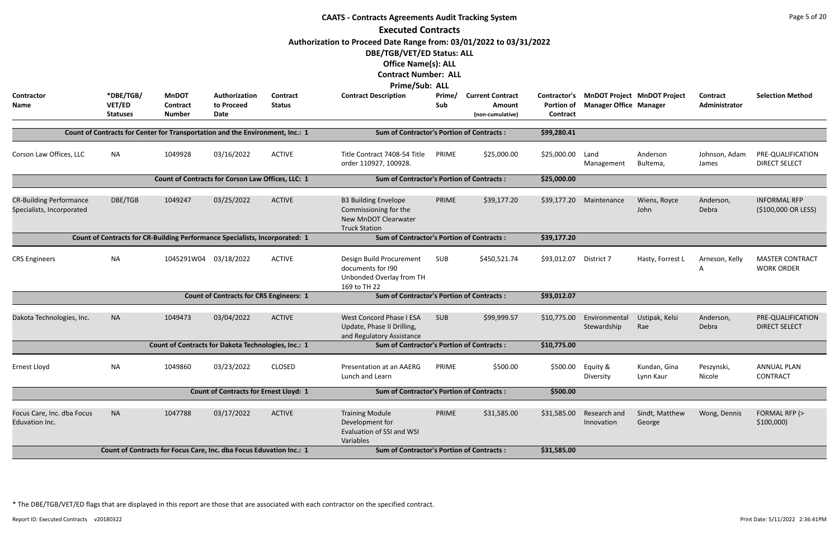| <b>CAATS - Contracts Agreements Audit Tracking System</b>                                                                                                                                       |                                                                               |                                           |                                                                     |                           |                                                                                                      |               |                                                       |                               |                                                                           |                                            |                           |                                             |  |
|-------------------------------------------------------------------------------------------------------------------------------------------------------------------------------------------------|-------------------------------------------------------------------------------|-------------------------------------------|---------------------------------------------------------------------|---------------------------|------------------------------------------------------------------------------------------------------|---------------|-------------------------------------------------------|-------------------------------|---------------------------------------------------------------------------|--------------------------------------------|---------------------------|---------------------------------------------|--|
|                                                                                                                                                                                                 |                                                                               |                                           |                                                                     |                           | <b>Executed Contracts</b>                                                                            |               |                                                       |                               |                                                                           |                                            |                           |                                             |  |
|                                                                                                                                                                                                 |                                                                               |                                           |                                                                     |                           | Authorization to Proceed Date Range from: 03/01/2022 to 03/31/2022                                   |               |                                                       |                               |                                                                           |                                            |                           |                                             |  |
|                                                                                                                                                                                                 |                                                                               |                                           |                                                                     |                           | DBE/TGB/VET/ED Status: ALL                                                                           |               |                                                       |                               |                                                                           |                                            |                           |                                             |  |
|                                                                                                                                                                                                 |                                                                               |                                           |                                                                     |                           | <b>Office Name(s): ALL</b>                                                                           |               |                                                       |                               |                                                                           |                                            |                           |                                             |  |
|                                                                                                                                                                                                 |                                                                               |                                           |                                                                     |                           | <b>Contract Number: ALL</b>                                                                          |               |                                                       |                               |                                                                           |                                            |                           |                                             |  |
|                                                                                                                                                                                                 |                                                                               |                                           |                                                                     |                           | Prime/Sub: ALL                                                                                       |               |                                                       |                               |                                                                           |                                            |                           |                                             |  |
| <b>Contractor</b><br>Name                                                                                                                                                                       | *DBE/TGB/<br>VET/ED<br><b>Statuses</b>                                        | <b>MnDOT</b><br>Contract<br><b>Number</b> | Authorization<br>to Proceed<br>Date                                 | Contract<br><b>Status</b> | <b>Contract Description</b>                                                                          | Prime/<br>Sub | <b>Current Contract</b><br>Amount<br>(non-cumulative) | <b>Portion of</b><br>Contract | Contractor's MnDOT Project MnDOT Project<br><b>Manager Office Manager</b> |                                            | Contract<br>Administrator | <b>Selection Method</b>                     |  |
|                                                                                                                                                                                                 |                                                                               |                                           |                                                                     |                           |                                                                                                      |               |                                                       |                               |                                                                           |                                            |                           |                                             |  |
|                                                                                                                                                                                                 | Count of Contracts for Center for Transportation and the Environment, Inc.: 1 |                                           |                                                                     |                           | <b>Sum of Contractor's Portion of Contracts:</b>                                                     |               |                                                       | \$99,280.41                   |                                                                           |                                            |                           |                                             |  |
| Corson Law Offices, LLC                                                                                                                                                                         | <b>NA</b>                                                                     | 1049928                                   | 03/16/2022                                                          | <b>ACTIVE</b>             | Title Contract 7408-54 Title<br>order 110927, 100928.                                                | PRIME         | \$25,000.00                                           | \$25,000.00                   | Land<br>Management                                                        | Anderson<br>Bultema,                       | Johnson, Adam<br>James    | PRE-QUALIFICATION<br><b>DIRECT SELECT</b>   |  |
|                                                                                                                                                                                                 |                                                                               |                                           | Count of Contracts for Corson Law Offices, LLC: 1                   |                           | <b>Sum of Contractor's Portion of Contracts:</b>                                                     |               |                                                       | \$25,000.00                   |                                                                           |                                            |                           |                                             |  |
|                                                                                                                                                                                                 |                                                                               |                                           |                                                                     |                           |                                                                                                      | PRIME         | \$39,177.20                                           |                               |                                                                           |                                            |                           |                                             |  |
| <b>CR-Building Performance</b><br>DBE/TGB<br>1049247<br>03/25/2022<br><b>ACTIVE</b><br>Specialists, Incorporated<br>Count of Contracts for CR-Building Performance Specialists, Incorporated: 1 |                                                                               |                                           |                                                                     |                           | <b>B3 Building Envelope</b><br>Commissioning for the<br>New MnDOT Clearwater<br><b>Truck Station</b> | \$39,177.20   | Maintenance                                           | Wiens, Royce<br>John          | Anderson,<br>Debra                                                        | <b>INFORMAL RFP</b><br>(\$100,000 OR LESS) |                           |                                             |  |
|                                                                                                                                                                                                 |                                                                               |                                           |                                                                     |                           | <b>Sum of Contractor's Portion of Contracts:</b><br>\$39,177.20                                      |               |                                                       |                               |                                                                           |                                            |                           |                                             |  |
| <b>CRS Engineers</b>                                                                                                                                                                            | <b>NA</b>                                                                     | 1045291W04 03/18/2022                     |                                                                     | <b>ACTIVE</b>             | Design Build Procurement<br>documents for 190<br>Unbonded Overlay from TH<br>169 to TH 22            | SUB           | \$450,521.74                                          | \$93,012.07                   | District 7                                                                | Hasty, Forrest L                           | Arneson, Kelly<br>Α       | <b>MASTER CONTRACT</b><br><b>WORK ORDER</b> |  |
|                                                                                                                                                                                                 |                                                                               |                                           | <b>Count of Contracts for CRS Engineers: 1</b>                      |                           | <b>Sum of Contractor's Portion of Contracts:</b>                                                     |               |                                                       | \$93,012.07                   |                                                                           |                                            |                           |                                             |  |
| Dakota Technologies, Inc.                                                                                                                                                                       | <b>NA</b>                                                                     | 1049473                                   | 03/04/2022                                                          | <b>ACTIVE</b>             | <b>West Concord Phase I ESA</b><br>Update, Phase II Drilling,<br>and Regulatory Assistance           | SUB           | \$99,999.57                                           | \$10,775.00                   | Environmental<br>Stewardship                                              | Ustipak, Kelsi<br>Rae                      | Anderson,<br>Debra        | PRE-QUALIFICATION<br><b>DIRECT SELECT</b>   |  |
|                                                                                                                                                                                                 |                                                                               |                                           | Count of Contracts for Dakota Technologies, Inc.: 1                 |                           | <b>Sum of Contractor's Portion of Contracts:</b>                                                     |               |                                                       | \$10,775.00                   |                                                                           |                                            |                           |                                             |  |
| Ernest Lloyd                                                                                                                                                                                    | <b>NA</b>                                                                     | 1049860                                   | 03/23/2022                                                          | <b>CLOSED</b>             | Presentation at an AAERG<br>Lunch and Learn                                                          | PRIME         | \$500.00                                              | \$500.00                      | Equity &<br>Diversity                                                     | Kundan, Gina<br>Lynn Kaur                  | Peszynski,<br>Nicole      | <b>ANNUAL PLAN</b><br><b>CONTRACT</b>       |  |
|                                                                                                                                                                                                 |                                                                               |                                           | <b>Count of Contracts for Ernest Lloyd: 1</b>                       |                           | <b>Sum of Contractor's Portion of Contracts:</b>                                                     |               |                                                       | \$500.00                      |                                                                           |                                            |                           |                                             |  |
| Focus Care, Inc. dba Focus<br>Eduvation Inc.                                                                                                                                                    | <b>NA</b>                                                                     | 1047788                                   | 03/17/2022                                                          | <b>ACTIVE</b>             | <b>Training Module</b><br>Development for<br>Evaluation of SSI and WSI<br>Variables                  | PRIME         | \$31,585.00                                           | \$31,585.00                   | Research and<br>Innovation                                                | Sindt, Matthew<br>George                   | Wong, Dennis              | FORMAL RFP (><br>\$100,000                  |  |
|                                                                                                                                                                                                 |                                                                               |                                           | Count of Contracts for Focus Care, Inc. dba Focus Eduvation Inc.: 1 |                           | <b>Sum of Contractor's Portion of Contracts:</b>                                                     |               |                                                       | \$31,585.00                   |                                                                           |                                            |                           |                                             |  |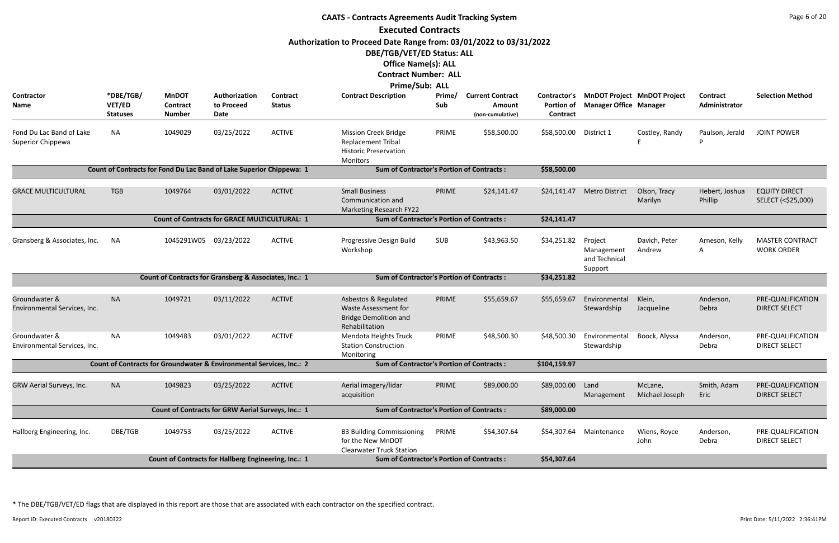| <b>CAATS - Contracts Agreements Audit Tracking System</b>                                                                                                                       |                                                    |                                                                      |                                     |                                                  |                                                                                                       |               |                                                       |                               |                                                                           |                           |                                  |                                             |  |
|---------------------------------------------------------------------------------------------------------------------------------------------------------------------------------|----------------------------------------------------|----------------------------------------------------------------------|-------------------------------------|--------------------------------------------------|-------------------------------------------------------------------------------------------------------|---------------|-------------------------------------------------------|-------------------------------|---------------------------------------------------------------------------|---------------------------|----------------------------------|---------------------------------------------|--|
|                                                                                                                                                                                 |                                                    |                                                                      |                                     |                                                  | <b>Executed Contracts</b>                                                                             |               |                                                       |                               |                                                                           |                           |                                  |                                             |  |
| Authorization to Proceed Date Range from: 03/01/2022 to 03/31/2022<br>DBE/TGB/VET/ED Status: ALL<br><b>Office Name(s): ALL</b><br><b>Contract Number: ALL</b><br>Prime/Sub: ALL |                                                    |                                                                      |                                     |                                                  |                                                                                                       |               |                                                       |                               |                                                                           |                           |                                  |                                             |  |
| Contractor<br>Name                                                                                                                                                              | *DBE/TGB/<br>VET/ED<br><b>Statuses</b>             | <b>MnDOT</b><br><b>Contract</b><br><b>Number</b>                     | Authorization<br>to Proceed<br>Date | Contract<br><b>Status</b>                        | <b>Contract Description</b>                                                                           | Prime/<br>Sub | <b>Current Contract</b><br>Amount<br>(non-cumulative) | <b>Portion of</b><br>Contract | Contractor's MnDOT Project MnDOT Project<br><b>Manager Office Manager</b> |                           | <b>Contract</b><br>Administrator | <b>Selection Method</b>                     |  |
| Fond Du Lac Band of Lake<br>Superior Chippewa                                                                                                                                   | <b>NA</b>                                          | 1049029                                                              | 03/25/2022                          | <b>ACTIVE</b>                                    | <b>Mission Creek Bridge</b><br><b>Replacement Tribal</b><br><b>Historic Preservation</b><br>Monitors  | PRIME         | \$58,500.00                                           | \$58,500.00                   | District 1                                                                | Costley, Randy            | Paulson, Jerald                  | <b>JOINT POWER</b>                          |  |
|                                                                                                                                                                                 |                                                    | Count of Contracts for Fond Du Lac Band of Lake Superior Chippewa: 1 |                                     |                                                  | <b>Sum of Contractor's Portion of Contracts:</b>                                                      |               |                                                       | \$58,500.00                   |                                                                           |                           |                                  |                                             |  |
| <b>GRACE MULTICULTURAL</b>                                                                                                                                                      | <b>TGB</b>                                         | 1049764                                                              | 03/01/2022                          | <b>ACTIVE</b>                                    | <b>Small Business</b><br>Communication and<br><b>Marketing Research FY22</b>                          | PRIME         | \$24,141.47                                           | \$24,141.47                   | <b>Metro District</b>                                                     | Olson, Tracy<br>Marilyn   | Hebert, Joshua<br>Phillip        | <b>EQUITY DIRECT</b><br>SELECT (<\$25,000)  |  |
|                                                                                                                                                                                 |                                                    | <b>Count of Contracts for GRACE MULTICULTURAL: 1</b>                 |                                     |                                                  | <b>Sum of Contractor's Portion of Contracts:</b>                                                      |               |                                                       | \$24,141.47                   |                                                                           |                           |                                  |                                             |  |
| Gransberg & Associates, Inc.                                                                                                                                                    | <b>NA</b>                                          | 1045291W05 03/23/2022                                                |                                     | <b>ACTIVE</b>                                    | Progressive Design Build<br>Workshop                                                                  | SUB           | \$43,963.50                                           | \$34,251.82                   | Project<br>Management<br>and Technical<br>Support                         | Davich, Peter<br>Andrew   | Arneson, Kelly<br>A              | <b>MASTER CONTRACT</b><br><b>WORK ORDER</b> |  |
|                                                                                                                                                                                 |                                                    | Count of Contracts for Gransberg & Associates, Inc.: 1               |                                     |                                                  | <b>Sum of Contractor's Portion of Contracts:</b>                                                      |               |                                                       | \$34,251.82                   |                                                                           |                           |                                  |                                             |  |
| Groundwater &<br>Environmental Services, Inc.                                                                                                                                   | <b>NA</b>                                          | 1049721                                                              | 03/11/2022                          | <b>ACTIVE</b>                                    | Asbestos & Regulated<br><b>Waste Assessment for</b><br><b>Bridge Demolition and</b><br>Rehabilitation | PRIME         | \$55,659.67                                           | \$55,659.67                   | Environmental<br>Stewardship                                              | Klein,<br>Jacqueline      | Anderson,<br>Debra               | PRE-QUALIFICATION<br><b>DIRECT SELECT</b>   |  |
| Groundwater &<br>Environmental Services, Inc.                                                                                                                                   | <b>NA</b>                                          | 1049483                                                              | 03/01/2022                          | <b>ACTIVE</b>                                    | Mendota Heights Truck<br><b>Station Construction</b><br>Monitoring                                    | PRIME         | \$48,500.30                                           | \$48,500.30                   | Environmental<br>Stewardship                                              | Boock, Alyssa             | Anderson,<br>Debra               | PRE-QUALIFICATION<br><b>DIRECT SELECT</b>   |  |
|                                                                                                                                                                                 |                                                    | Count of Contracts for Groundwater & Environmental Services, Inc.: 2 |                                     |                                                  | <b>Sum of Contractor's Portion of Contracts:</b>                                                      |               |                                                       | \$104,159.97                  |                                                                           |                           |                                  |                                             |  |
| GRW Aerial Surveys, Inc.                                                                                                                                                        | <b>NA</b>                                          | 1049823                                                              | 03/25/2022                          | <b>ACTIVE</b>                                    | Aerial imagery/lidar<br>acquisition                                                                   | PRIME         | \$89,000.00                                           | \$89,000.00                   | Land<br>Management                                                        | McLane,<br>Michael Joseph | Smith, Adam<br>Eric              | PRE-QUALIFICATION<br><b>DIRECT SELECT</b>   |  |
|                                                                                                                                                                                 | Count of Contracts for GRW Aerial Surveys, Inc.: 1 |                                                                      |                                     | <b>Sum of Contractor's Portion of Contracts:</b> |                                                                                                       |               | \$89,000.00                                           |                               |                                                                           |                           |                                  |                                             |  |
| Hallberg Engineering, Inc.                                                                                                                                                      | DBE/TGB                                            | 1049753                                                              | 03/25/2022                          | <b>ACTIVE</b>                                    | <b>B3 Building Commissioning</b><br>for the New MnDOT<br><b>Clearwater Truck Station</b>              | PRIME         | \$54,307.64                                           | \$54,307.64                   | Maintenance                                                               | Wiens, Royce<br>John      | Anderson,<br>Debra               | PRE-QUALIFICATION<br><b>DIRECT SELECT</b>   |  |
|                                                                                                                                                                                 |                                                    | Count of Contracts for Hallberg Engineering, Inc.: 1                 |                                     |                                                  | <b>Sum of Contractor's Portion of Contracts:</b>                                                      |               |                                                       | \$54,307.64                   |                                                                           |                           |                                  |                                             |  |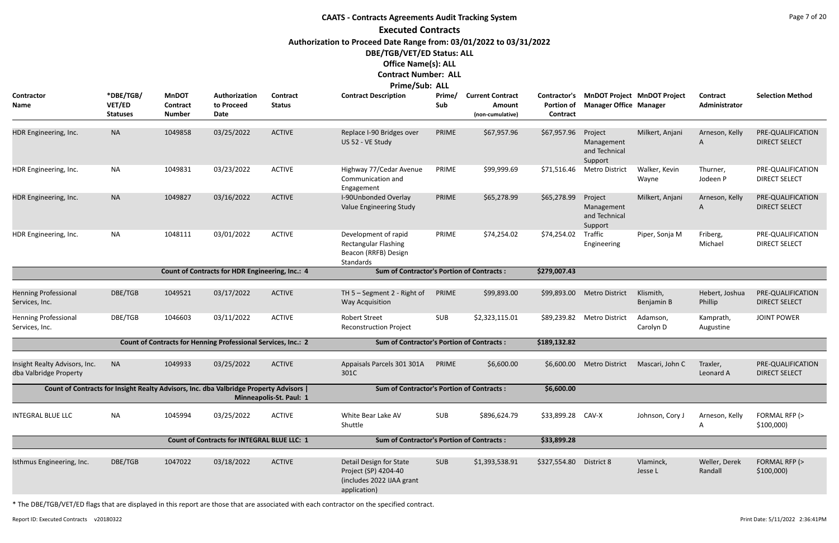#### **CAATS - Contracts Agreements Audit Tracking System Executed Contracts Authorization to Proceed Date Range from: 03/01/2022 to 03/31/2022 DBE/TGB/VET/ED Status: ALL Office Name(s): ALL Contract Number: ALL Prime/Sub: ALL**

|                                                         | <b>FINNE, SUD. ALL</b>                 |                                                  |                                                                                      |                           |                                                                                              |               |                                                       |                               |                                                                           |                         |                           |                                           |
|---------------------------------------------------------|----------------------------------------|--------------------------------------------------|--------------------------------------------------------------------------------------|---------------------------|----------------------------------------------------------------------------------------------|---------------|-------------------------------------------------------|-------------------------------|---------------------------------------------------------------------------|-------------------------|---------------------------|-------------------------------------------|
| Contractor<br>Name                                      | *DBE/TGB/<br>VET/ED<br><b>Statuses</b> | <b>MnDOT</b><br><b>Contract</b><br><b>Number</b> | Authorization<br>to Proceed<br>Date                                                  | Contract<br><b>Status</b> | <b>Contract Description</b>                                                                  | Prime/<br>Sub | <b>Current Contract</b><br>Amount<br>(non-cumulative) | <b>Portion of</b><br>Contract | Contractor's MnDOT Project MnDOT Project<br><b>Manager Office Manager</b> |                         | Contract<br>Administrator | <b>Selection Method</b>                   |
| HDR Engineering, Inc.                                   | <b>NA</b>                              | 1049858                                          | 03/25/2022                                                                           | <b>ACTIVE</b>             | Replace I-90 Bridges over<br>US 52 - VE Study                                                | PRIME         | \$67,957.96                                           | \$67,957.96                   | Project<br>Management<br>and Technical<br>Support                         | Milkert, Anjani         | Arneson, Kelly<br>A       | PRE-QUALIFICATION<br><b>DIRECT SELECT</b> |
| HDR Engineering, Inc.                                   | <b>NA</b>                              | 1049831                                          | 03/23/2022                                                                           | <b>ACTIVE</b>             | Highway 77/Cedar Avenue<br>Communication and<br>Engagement                                   | PRIME         | \$99,999.69                                           | \$71,516.46                   | <b>Metro District</b>                                                     | Walker, Kevin<br>Wayne  | Thurner,<br>Jodeen P      | PRE-QUALIFICATION<br><b>DIRECT SELECT</b> |
| HDR Engineering, Inc.                                   | <b>NA</b>                              | 1049827                                          | 03/16/2022                                                                           | <b>ACTIVE</b>             | I-90Unbonded Overlay<br>Value Engineering Study                                              | PRIME         | \$65,278.99                                           | \$65,278.99                   | Project<br>Management<br>and Technical<br>Support                         | Milkert, Anjani         | Arneson, Kelly<br>A       | PRE-QUALIFICATION<br><b>DIRECT SELECT</b> |
| HDR Engineering, Inc.                                   | <b>NA</b>                              | 1048111                                          | 03/01/2022                                                                           | <b>ACTIVE</b>             | Development of rapid<br><b>Rectangular Flashing</b><br>Beacon (RRFB) Design<br>Standards     | PRIME         | \$74,254.02                                           | \$74,254.02                   | Traffic<br>Engineering                                                    | Piper, Sonja M          | Friberg,<br>Michael       | PRE-QUALIFICATION<br><b>DIRECT SELECT</b> |
|                                                         |                                        |                                                  | Count of Contracts for HDR Engineering, Inc.: 4                                      |                           | <b>Sum of Contractor's Portion of Contracts:</b>                                             |               |                                                       | \$279,007.43                  |                                                                           |                         |                           |                                           |
|                                                         |                                        |                                                  |                                                                                      |                           |                                                                                              |               |                                                       |                               |                                                                           |                         |                           |                                           |
| <b>Henning Professional</b><br>Services, Inc.           | DBE/TGB                                | 1049521                                          | 03/17/2022                                                                           | <b>ACTIVE</b>             | TH 5 - Segment 2 - Right of<br><b>Way Acquisition</b>                                        | PRIME         | \$99,893.00                                           | \$99,893.00                   | <b>Metro District</b>                                                     | Klismith,<br>Benjamin B | Hebert, Joshua<br>Phillip | PRE-QUALIFICATION<br><b>DIRECT SELECT</b> |
| <b>Henning Professional</b><br>Services, Inc.           | DBE/TGB                                | 1046603                                          | 03/11/2022                                                                           | <b>ACTIVE</b>             | <b>Robert Street</b><br><b>Reconstruction Project</b>                                        | <b>SUB</b>    | \$2,323,115.01                                        | \$89,239.82                   | <b>Metro District</b>                                                     | Adamson,<br>Carolyn D   | Kamprath,<br>Augustine    | <b>JOINT POWER</b>                        |
|                                                         |                                        |                                                  | Count of Contracts for Henning Professional Services, Inc.: 2                        |                           | <b>Sum of Contractor's Portion of Contracts:</b>                                             |               |                                                       | \$189,132.82                  |                                                                           |                         |                           |                                           |
| Insight Realty Advisors, Inc.<br>dba Valbridge Property | <b>NA</b>                              | 1049933                                          | 03/25/2022                                                                           | <b>ACTIVE</b>             | Appaisals Parcels 301 301A<br>301C                                                           | PRIME         | \$6,600.00                                            | \$6,600.00                    | <b>Metro District</b>                                                     | Mascari, John C         | Traxler,<br>Leonard A     | PRE-QUALIFICATION<br><b>DIRECT SELECT</b> |
|                                                         |                                        |                                                  | Count of Contracts for Insight Realty Advisors, Inc. dba Valbridge Property Advisors | Minneapolis-St. Paul: 1   | <b>Sum of Contractor's Portion of Contracts:</b>                                             |               |                                                       | \$6,600.00                    |                                                                           |                         |                           |                                           |
| <b>INTEGRAL BLUE LLC</b>                                | <b>NA</b>                              | 1045994                                          | 03/25/2022                                                                           | <b>ACTIVE</b>             | White Bear Lake AV<br>Shuttle                                                                | <b>SUB</b>    | \$896,624.79                                          | \$33,899.28 CAV-X             |                                                                           | Johnson, Cory J         | Arneson, Kelly<br>A       | FORMAL RFP (><br>\$100,000                |
|                                                         |                                        |                                                  | <b>Count of Contracts for INTEGRAL BLUE LLC: 1</b>                                   |                           | <b>Sum of Contractor's Portion of Contracts:</b>                                             |               |                                                       | \$33,899.28                   |                                                                           |                         |                           |                                           |
| Isthmus Engineering, Inc.                               | DBE/TGB                                | 1047022                                          | 03/18/2022                                                                           | <b>ACTIVE</b>             | Detail Design for State<br>Project (SP) 4204-40<br>(includes 2022 IJAA grant<br>application) | SUB           | \$1,393,538.91                                        | \$327,554.80 District 8       |                                                                           | Vlaminck,<br>Jesse L    | Weller, Derek<br>Randall  | FORMAL RFP (><br>\$100,000                |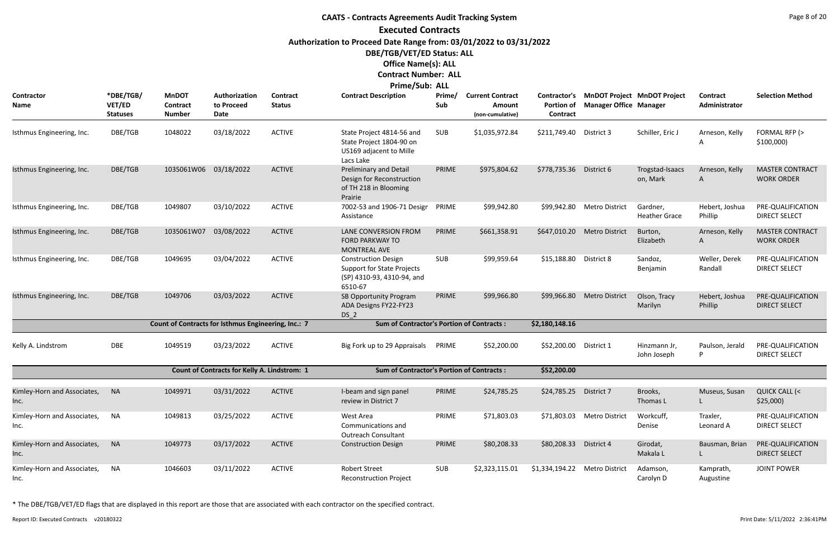# **CAATS - Contracts Agreements Audit Tracking System Executed Contracts Authorization to Proceed Date Range from: 03/01/2022 to 03/31/2022 DBE/TGB/VET/ED Status: ALL Office Name(s): ALL Contract Number: ALL**

## **Prime/Sub: ALL**

| Contractor<br><b>Name</b>           | *DBE/TGB/<br>VET/ED<br><b>Statuses</b> | <b>MnDOT</b><br>Contract<br><b>Number</b>           | Authorization<br>to Proceed<br>Date                 | <b>Contract</b><br><b>Status</b> | <b>Contract Description</b>                                                                              | Prime/<br>Sub | <b>Current Contract</b><br>Amount<br>(non-cumulative) | Contractor's<br><b>Portion of</b><br>Contract | <b>Manager Office Manager</b> | <b>MnDOT Project MnDOT Project</b> | Contract<br>Administrator | <b>Selection Method</b>                     |
|-------------------------------------|----------------------------------------|-----------------------------------------------------|-----------------------------------------------------|----------------------------------|----------------------------------------------------------------------------------------------------------|---------------|-------------------------------------------------------|-----------------------------------------------|-------------------------------|------------------------------------|---------------------------|---------------------------------------------|
| Isthmus Engineering, Inc.           | DBE/TGB                                | 1048022                                             | 03/18/2022                                          | <b>ACTIVE</b>                    | State Project 4814-56 and<br>State Project 1804-90 on<br>US169 adjacent to Mille<br>Lacs Lake            | <b>SUB</b>    | \$1,035,972.84                                        | \$211,749.40                                  | District 3                    | Schiller, Eric J                   | Arneson, Kelly<br>A       | FORMAL RFP (><br>\$100,000)                 |
| Isthmus Engineering, Inc.           | DBE/TGB                                | 1035061W06                                          | 03/18/2022                                          | <b>ACTIVE</b>                    | <b>Preliminary and Detail</b><br>Design for Reconstruction<br>of TH 218 in Blooming<br>Prairie           | PRIME         | \$975,804.62                                          | \$778,735.36                                  | District 6                    | Trogstad-Isaacs<br>on, Mark        | Arneson, Kelly<br>A       | <b>MASTER CONTRACT</b><br><b>WORK ORDER</b> |
| Isthmus Engineering, Inc.           | DBE/TGB                                | 1049807                                             | 03/10/2022                                          | <b>ACTIVE</b>                    | 7002-53 and 1906-71 Desigr<br>Assistance                                                                 | PRIME         | \$99,942.80                                           | \$99,942.80                                   | <b>Metro District</b>         | Gardner,<br><b>Heather Grace</b>   | Hebert, Joshua<br>Phillip | PRE-QUALIFICATION<br><b>DIRECT SELECT</b>   |
| Isthmus Engineering, Inc.           | DBE/TGB                                | 1035061W07                                          | 03/08/2022                                          | <b>ACTIVE</b>                    | LANE CONVERSION FROM<br><b>FORD PARKWAY TO</b><br><b>MONTREAL AVE</b>                                    | PRIME         | \$661,358.91                                          | \$647,010.20                                  | <b>Metro District</b>         | Burton,<br>Elizabeth               | Arneson, Kelly<br>A       | <b>MASTER CONTRACT</b><br><b>WORK ORDER</b> |
| Isthmus Engineering, Inc.           | DBE/TGB                                | 1049695                                             | 03/04/2022                                          | <b>ACTIVE</b>                    | <b>Construction Design</b><br><b>Support for State Projects</b><br>(SP) 4310-93, 4310-94, and<br>6510-67 | <b>SUB</b>    | \$99,959.64                                           | \$15,188.80                                   | District 8                    | Sandoz,<br>Benjamin                | Weller, Derek<br>Randall  | PRE-QUALIFICATION<br><b>DIRECT SELECT</b>   |
| Isthmus Engineering, Inc.           | DBE/TGB                                | 1049706                                             | 03/03/2022                                          | <b>ACTIVE</b>                    | SB Opportunity Program<br>ADA Designs FY22-FY23<br>DS <sub>2</sub>                                       | PRIME         | \$99,966.80                                           | \$99,966.80                                   | <b>Metro District</b>         | Olson, Tracy<br>Marilyn            | Hebert, Joshua<br>Phillip | PRE-QUALIFICATION<br><b>DIRECT SELECT</b>   |
|                                     |                                        | Count of Contracts for Isthmus Engineering, Inc.: 7 |                                                     |                                  | <b>Sum of Contractor's Portion of Contracts:</b>                                                         |               |                                                       | \$2,180,148.16                                |                               |                                    |                           |                                             |
| Kelly A. Lindstrom                  | <b>DBE</b>                             | 1049519                                             | 03/23/2022                                          | <b>ACTIVE</b>                    | Big Fork up to 29 Appraisals                                                                             | PRIME         | \$52,200.00                                           | \$52,200.00                                   | District 1                    | Hinzmann Jr,<br>John Joseph        | Paulson, Jerald<br>P      | PRE-QUALIFICATION<br><b>DIRECT SELECT</b>   |
|                                     |                                        |                                                     | <b>Count of Contracts for Kelly A. Lindstrom: 1</b> |                                  | <b>Sum of Contractor's Portion of Contracts:</b>                                                         |               |                                                       | \$52,200.00                                   |                               |                                    |                           |                                             |
| Kimley-Horn and Associates,<br>Inc. | <b>NA</b>                              | 1049971                                             | 03/31/2022                                          | <b>ACTIVE</b>                    | I-beam and sign panel<br>review in District 7                                                            | PRIME         | \$24,785.25                                           | \$24,785.25                                   | District 7                    | Brooks,<br>Thomas L                | Museus, Susan             | <b>QUICK CALL (&lt;</b><br>\$25,000)        |
| Kimley-Horn and Associates,<br>Inc. | <b>NA</b>                              | 1049813                                             | 03/25/2022                                          | <b>ACTIVE</b>                    | West Area<br>Communications and<br><b>Outreach Consultant</b>                                            | PRIME         | \$71,803.03                                           |                                               | \$71,803.03 Metro District    | Workcuff,<br>Denise                | Traxler,<br>Leonard A     | PRE-QUALIFICATION<br><b>DIRECT SELECT</b>   |
| Kimley-Horn and Associates,<br>Inc. | <b>NA</b>                              | 1049773                                             | 03/17/2022                                          | <b>ACTIVE</b>                    | <b>Construction Design</b>                                                                               | PRIME         | \$80,208.33                                           | \$80,208.33                                   | District 4                    | Girodat,<br>Makala L               | Bausman, Brian            | PRE-QUALIFICATION<br><b>DIRECT SELECT</b>   |
| Kimley-Horn and Associates,<br>Inc. | NA                                     | 1046603                                             | 03/11/2022                                          | <b>ACTIVE</b>                    | <b>Robert Street</b><br><b>Reconstruction Project</b>                                                    | <b>SUB</b>    | \$2,323,115.01                                        | \$1,334,194.22 Metro District                 |                               | Adamson,<br>Carolyn D              | Kamprath,<br>Augustine    | <b>JOINT POWER</b>                          |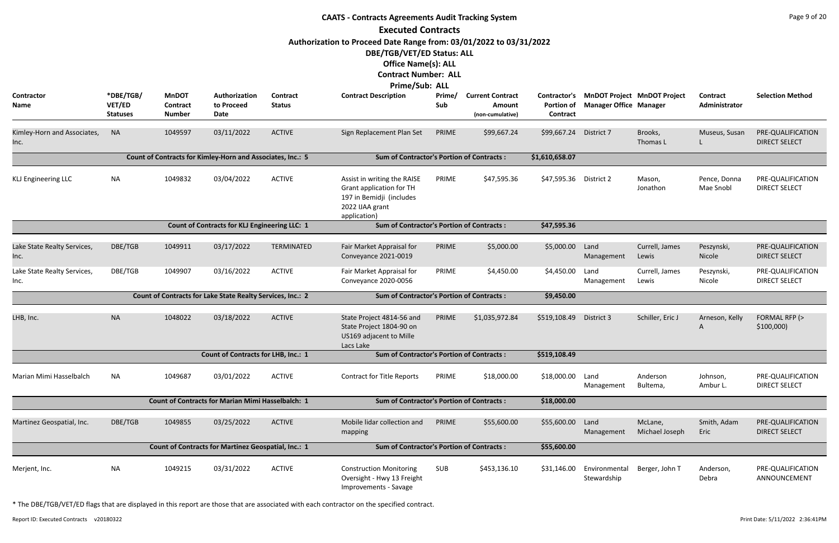|                                     | <b>CAATS - Contracts Agreements Audit Tracking System</b> |                                                     |                                                            |                           |                                                                                                                                |               |                                                       |                                               |                               |                                    |                           |                                           |  |  |
|-------------------------------------|-----------------------------------------------------------|-----------------------------------------------------|------------------------------------------------------------|---------------------------|--------------------------------------------------------------------------------------------------------------------------------|---------------|-------------------------------------------------------|-----------------------------------------------|-------------------------------|------------------------------------|---------------------------|-------------------------------------------|--|--|
|                                     |                                                           |                                                     |                                                            |                           | <b>Executed Contracts</b>                                                                                                      |               |                                                       |                                               |                               |                                    |                           |                                           |  |  |
|                                     |                                                           |                                                     |                                                            |                           | Authorization to Proceed Date Range from: 03/01/2022 to 03/31/2022<br>DBE/TGB/VET/ED Status: ALL<br><b>Office Name(s): ALL</b> |               |                                                       |                                               |                               |                                    |                           |                                           |  |  |
|                                     |                                                           |                                                     |                                                            |                           | <b>Contract Number: ALL</b>                                                                                                    |               |                                                       |                                               |                               |                                    |                           |                                           |  |  |
| Contractor<br>Name                  | *DBE/TGB/<br>VET/ED<br><b>Statuses</b>                    | <b>MnDOT</b><br><b>Contract</b><br><b>Number</b>    | Authorization<br>to Proceed<br>Date                        | Contract<br><b>Status</b> | Prime/Sub: ALL<br><b>Contract Description</b>                                                                                  | Prime/<br>Sub | <b>Current Contract</b><br>Amount<br>(non-cumulative) | Contractor's<br><b>Portion of</b><br>Contract | <b>Manager Office Manager</b> | <b>MnDOT Project MnDOT Project</b> | Contract<br>Administrator | <b>Selection Method</b>                   |  |  |
| Kimley-Horn and Associates,<br>Inc. | <b>NA</b>                                                 | 1049597                                             | 03/11/2022                                                 | <b>ACTIVE</b>             | Sign Replacement Plan Set                                                                                                      | PRIME         | \$99,667.24                                           | \$99,667.24                                   | District 7                    | Brooks,<br>Thomas L                | Museus, Susan             | PRE-QUALIFICATION<br><b>DIRECT SELECT</b> |  |  |
|                                     |                                                           |                                                     | Count of Contracts for Kimley-Horn and Associates, Inc.: 5 |                           | <b>Sum of Contractor's Portion of Contracts:</b>                                                                               |               |                                                       | \$1,610,658.07                                |                               |                                    |                           |                                           |  |  |
| <b>KLJ Engineering LLC</b>          | <b>NA</b>                                                 | 1049832                                             | 03/04/2022                                                 | <b>ACTIVE</b>             | Assist in writing the RAISE<br><b>Grant application for TH</b><br>197 in Bemidji (includes<br>2022 IJAA grant<br>application)  | PRIME         | \$47,595.36                                           | \$47,595.36                                   | District 2                    | Mason,<br>Jonathon                 | Pence, Donna<br>Mae Snobl | PRE-QUALIFICATION<br><b>DIRECT SELECT</b> |  |  |
|                                     |                                                           |                                                     | Count of Contracts for KLJ Engineering LLC: 1              |                           | <b>Sum of Contractor's Portion of Contracts:</b>                                                                               |               |                                                       | \$47,595.36                                   |                               |                                    |                           |                                           |  |  |
| Lake State Realty Services,<br>Inc. | DBE/TGB                                                   | 1049911                                             | 03/17/2022                                                 | TERMINATED                | Fair Market Appraisal for<br>Conveyance 2021-0019                                                                              | PRIME         | \$5,000.00                                            | \$5,000.00                                    | Land<br>Management            | Currell, James<br>Lewis            | Peszynski,<br>Nicole      | PRE-QUALIFICATION<br><b>DIRECT SELECT</b> |  |  |
| Lake State Realty Services,<br>Inc. | DBE/TGB                                                   | 1049907                                             | 03/16/2022                                                 | <b>ACTIVE</b>             | Fair Market Appraisal for<br>Conveyance 2020-0056                                                                              | PRIME         | \$4,450.00                                            | \$4,450.00                                    | Land<br>Management            | Currell, James<br>Lewis            | Peszynski,<br>Nicole      | PRE-QUALIFICATION<br><b>DIRECT SELECT</b> |  |  |
|                                     |                                                           |                                                     | Count of Contracts for Lake State Realty Services, Inc.: 2 |                           | <b>Sum of Contractor's Portion of Contracts:</b>                                                                               | \$9,450.00    |                                                       |                                               |                               |                                    |                           |                                           |  |  |
| LHB, Inc.                           | <b>NA</b>                                                 | 1048022                                             | 03/18/2022                                                 | <b>ACTIVE</b>             | State Project 4814-56 and<br>State Project 1804-90 on<br>US169 adjacent to Mille<br>Lacs Lake                                  | PRIME         | \$1,035,972.84                                        | \$519,108.49                                  | District 3                    | Schiller, Eric J                   | Arneson, Kelly<br>A       | FORMAL RFP (><br>\$100,000                |  |  |
|                                     |                                                           |                                                     | <b>Count of Contracts for LHB, Inc.: 1</b>                 |                           | <b>Sum of Contractor's Portion of Contracts:</b>                                                                               |               |                                                       | \$519,108.49                                  |                               |                                    |                           |                                           |  |  |
| Marian Mimi Hasselbalch             | <b>NA</b>                                                 | 1049687                                             | 03/01/2022                                                 | <b>ACTIVE</b>             | <b>Contract for Title Reports</b>                                                                                              | PRIME         | \$18,000.00                                           | \$18,000.00                                   | Land<br>Management            | Anderson<br>Bultema,               | Johnson,<br>Ambur L.      | PRE-QUALIFICATION<br><b>DIRECT SELECT</b> |  |  |
|                                     |                                                           |                                                     | <b>Count of Contracts for Marian Mimi Hasselbalch: 1</b>   |                           | <b>Sum of Contractor's Portion of Contracts:</b>                                                                               |               |                                                       | \$18,000.00                                   |                               |                                    |                           |                                           |  |  |
| Martinez Geospatial, Inc.           | DBE/TGB                                                   | 1049855                                             | 03/25/2022                                                 | <b>ACTIVE</b>             | Mobile lidar collection and<br>mapping                                                                                         | PRIME         | \$55,600.00                                           | \$55,600.00                                   | Land<br>Management            | McLane,<br>Michael Joseph          | Smith, Adam<br>Eric       | PRE-QUALIFICATION<br><b>DIRECT SELECT</b> |  |  |
|                                     |                                                           | Count of Contracts for Martinez Geospatial, Inc.: 1 | <b>Sum of Contractor's Portion of Contracts:</b>           |                           |                                                                                                                                | \$55,600.00   |                                                       |                                               |                               |                                    |                           |                                           |  |  |
| Merjent, Inc.                       | <b>NA</b>                                                 | 1049215                                             | 03/31/2022                                                 | <b>ACTIVE</b>             | <b>Construction Monitoring</b><br>Oversight - Hwy 13 Freight<br>Improvements - Savage                                          | SUB           | \$453,136.10                                          | \$31,146.00                                   | Environmental<br>Stewardship  | Berger, John T                     | Anderson,<br>Debra        | PRE-QUALIFICATION<br>ANNOUNCEMENT         |  |  |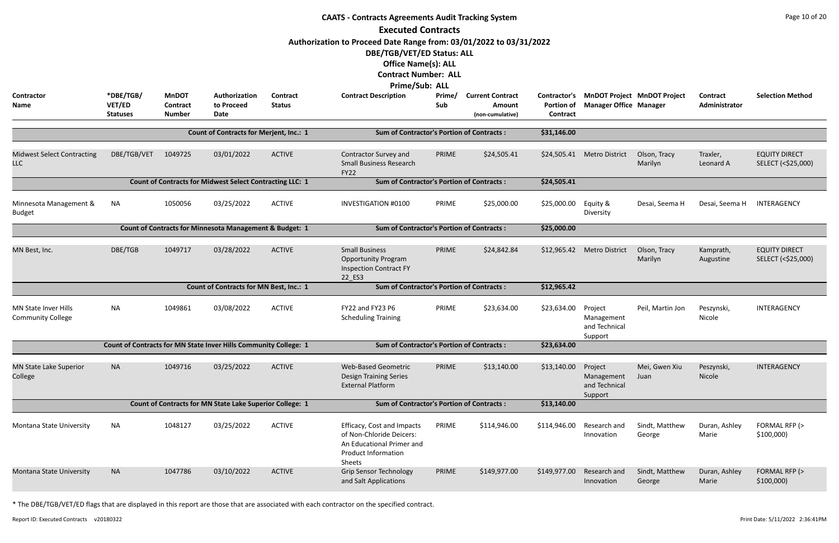|                                                                                                                                                                                                                                                                                                                                                                                                                                                                                                                                                                                          | <b>CAATS - Contracts Agreements Audit Tracking System</b><br><b>Executed Contracts</b> |               |                                                                    |               |                                                                                                                             |       |                  |              |                                                   |                          |                        |                                            |  |
|------------------------------------------------------------------------------------------------------------------------------------------------------------------------------------------------------------------------------------------------------------------------------------------------------------------------------------------------------------------------------------------------------------------------------------------------------------------------------------------------------------------------------------------------------------------------------------------|----------------------------------------------------------------------------------------|---------------|--------------------------------------------------------------------|---------------|-----------------------------------------------------------------------------------------------------------------------------|-------|------------------|--------------|---------------------------------------------------|--------------------------|------------------------|--------------------------------------------|--|
| Authorization to Proceed Date Range from: 03/01/2022 to 03/31/2022<br>DBE/TGB/VET/ED Status: ALL<br><b>Office Name(s): ALL</b><br><b>Contract Number: ALL</b><br><b>Prime/Sub: ALL</b><br>*DBE/TGB/<br>Contractor<br><b>MnDOT</b><br>Authorization<br><b>Contract Description</b><br>Prime/<br><b>Current Contract</b><br>Contractor's MnDOT Project MnDOT Project<br><b>Selection Method</b><br>Contract<br><b>Contract</b><br>VET/ED<br><b>Status</b><br>Sub<br><b>Portion of</b><br><b>Manager Office Manager</b><br>Administrator<br>Name<br><b>Contract</b><br>to Proceed<br>Amount |                                                                                        |               |                                                                    |               |                                                                                                                             |       |                  |              |                                                   |                          |                        |                                            |  |
|                                                                                                                                                                                                                                                                                                                                                                                                                                                                                                                                                                                          | <b>Statuses</b>                                                                        | <b>Number</b> | Date                                                               |               |                                                                                                                             |       | (non-cumulative) | Contract     |                                                   |                          |                        |                                            |  |
|                                                                                                                                                                                                                                                                                                                                                                                                                                                                                                                                                                                          |                                                                                        |               | <b>Count of Contracts for Merjent, Inc.: 1</b>                     |               | <b>Sum of Contractor's Portion of Contracts:</b>                                                                            |       |                  | \$31,146.00  |                                                   |                          |                        |                                            |  |
| <b>Midwest Select Contracting</b><br><b>LLC</b>                                                                                                                                                                                                                                                                                                                                                                                                                                                                                                                                          | DBE/TGB/VET                                                                            | 1049725       | 03/01/2022                                                         | <b>ACTIVE</b> | Contractor Survey and<br><b>Small Business Research</b><br><b>FY22</b>                                                      | PRIME | \$24,505.41      |              | \$24,505.41 Metro District                        | Olson, Tracy<br>Marilyn  | Traxler,<br>Leonard A  | <b>EQUITY DIRECT</b><br>SELECT (<\$25,000) |  |
|                                                                                                                                                                                                                                                                                                                                                                                                                                                                                                                                                                                          |                                                                                        |               | <b>Count of Contracts for Midwest Select Contracting LLC: 1</b>    |               | <b>Sum of Contractor's Portion of Contracts:</b>                                                                            |       |                  | \$24,505.41  |                                                   |                          |                        |                                            |  |
| Minnesota Management &<br><b>Budget</b>                                                                                                                                                                                                                                                                                                                                                                                                                                                                                                                                                  | <b>NA</b>                                                                              | 1050056       | 03/25/2022                                                         | <b>ACTIVE</b> | <b>INVESTIGATION #0100</b>                                                                                                  | PRIME | \$25,000.00      | \$25,000.00  | Equity &<br>Diversity                             | Desai, Seema H           | Desai, Seema H         | INTERAGENCY                                |  |
|                                                                                                                                                                                                                                                                                                                                                                                                                                                                                                                                                                                          |                                                                                        |               | <b>Count of Contracts for Minnesota Management &amp; Budget: 1</b> |               | <b>Sum of Contractor's Portion of Contracts:</b>                                                                            |       |                  | \$25,000.00  |                                                   |                          |                        |                                            |  |
| MN Best, Inc.                                                                                                                                                                                                                                                                                                                                                                                                                                                                                                                                                                            | DBE/TGB                                                                                | 1049717       | 03/28/2022                                                         | <b>ACTIVE</b> | <b>Small Business</b><br><b>Opportunity Program</b><br><b>Inspection Contract FY</b><br>22 ES3                              | PRIME | \$24,842.84      | \$12,965.42  | <b>Metro District</b>                             | Olson, Tracy<br>Marilyn  | Kamprath,<br>Augustine | <b>EQUITY DIRECT</b><br>SELECT (<\$25,000) |  |
|                                                                                                                                                                                                                                                                                                                                                                                                                                                                                                                                                                                          |                                                                                        |               | <b>Count of Contracts for MN Best, Inc.: 1</b>                     |               | <b>Sum of Contractor's Portion of Contracts:</b>                                                                            |       |                  | \$12,965.42  |                                                   |                          |                        |                                            |  |
| MN State Inver Hills<br><b>Community College</b>                                                                                                                                                                                                                                                                                                                                                                                                                                                                                                                                         | <b>NA</b>                                                                              | 1049861       | 03/08/2022                                                         | <b>ACTIVE</b> | FY22 and FY23 P6<br><b>Scheduling Training</b>                                                                              | PRIME | \$23,634.00      | \$23,634.00  | Project<br>Management<br>and Technical<br>Support | Peil, Martin Jon         | Peszynski,<br>Nicole   | INTERAGENCY                                |  |
|                                                                                                                                                                                                                                                                                                                                                                                                                                                                                                                                                                                          |                                                                                        |               | Count of Contracts for MN State Inver Hills Community College: 1   |               | <b>Sum of Contractor's Portion of Contracts:</b>                                                                            |       |                  | \$23,634.00  |                                                   |                          |                        |                                            |  |
| <b>MN State Lake Superior</b><br>College                                                                                                                                                                                                                                                                                                                                                                                                                                                                                                                                                 | <b>NA</b>                                                                              | 1049716       | 03/25/2022                                                         | <b>ACTIVE</b> | <b>Web-Based Geometric</b><br><b>Design Training Series</b><br><b>External Platform</b>                                     | PRIME | \$13,140.00      | \$13,140.00  | Project<br>Management<br>and Technical<br>Support | Mei, Gwen Xiu<br>Juan    | Peszynski,<br>Nicole   | INTERAGENCY                                |  |
|                                                                                                                                                                                                                                                                                                                                                                                                                                                                                                                                                                                          |                                                                                        |               | Count of Contracts for MN State Lake Superior College: 1           |               | <b>Sum of Contractor's Portion of Contracts:</b>                                                                            |       |                  | \$13,140.00  |                                                   |                          |                        |                                            |  |
| Montana State University                                                                                                                                                                                                                                                                                                                                                                                                                                                                                                                                                                 | <b>NA</b>                                                                              | 1048127       | 03/25/2022                                                         | <b>ACTIVE</b> | Efficacy, Cost and Impacts<br>of Non-Chloride Deicers:<br>An Educational Primer and<br><b>Product Information</b><br>Sheets | PRIME | \$114,946.00     | \$114,946.00 | Research and<br>Innovation                        | Sindt, Matthew<br>George | Duran, Ashley<br>Marie | FORMAL RFP (><br>\$100,000                 |  |
| Montana State University                                                                                                                                                                                                                                                                                                                                                                                                                                                                                                                                                                 | <b>NA</b>                                                                              | 1047786       | 03/10/2022                                                         | <b>ACTIVE</b> | <b>Grip Sensor Technology</b><br>and Salt Applications                                                                      | PRIME | \$149,977.00     | \$149,977.00 | Research and<br>Innovation                        | Sindt, Matthew<br>George | Duran, Ashley<br>Marie | FORMAL RFP (><br>\$100,000                 |  |

Report ID: Executed Contracts v20180322 2:36:41PM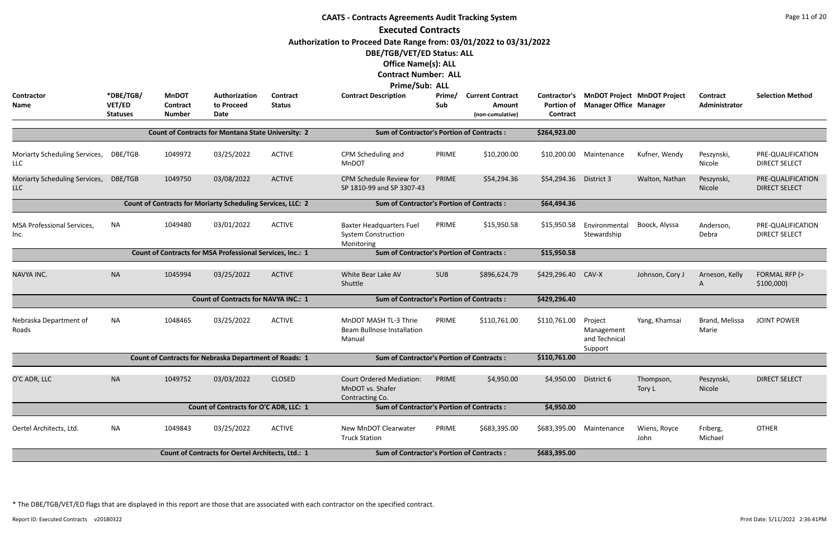| <b>CAATS - Contracts Agreements Audit Tracking System</b> |                                        |                                                  |                                                                    |                                  |                                                                             |               |                                                       |                                                      |                                                   |                                    |                           |                                           |  |
|-----------------------------------------------------------|----------------------------------------|--------------------------------------------------|--------------------------------------------------------------------|----------------------------------|-----------------------------------------------------------------------------|---------------|-------------------------------------------------------|------------------------------------------------------|---------------------------------------------------|------------------------------------|---------------------------|-------------------------------------------|--|
|                                                           |                                        |                                                  |                                                                    |                                  | <b>Executed Contracts</b>                                                   |               |                                                       |                                                      |                                                   |                                    |                           |                                           |  |
|                                                           |                                        |                                                  |                                                                    |                                  | Authorization to Proceed Date Range from: 03/01/2022 to 03/31/2022          |               |                                                       |                                                      |                                                   |                                    |                           |                                           |  |
|                                                           |                                        |                                                  |                                                                    |                                  | DBE/TGB/VET/ED Status: ALL                                                  |               |                                                       |                                                      |                                                   |                                    |                           |                                           |  |
|                                                           |                                        |                                                  |                                                                    |                                  | <b>Office Name(s): ALL</b>                                                  |               |                                                       |                                                      |                                                   |                                    |                           |                                           |  |
|                                                           |                                        |                                                  |                                                                    |                                  | <b>Contract Number: ALL</b>                                                 |               |                                                       |                                                      |                                                   |                                    |                           |                                           |  |
|                                                           |                                        |                                                  |                                                                    |                                  | <b>Prime/Sub: ALL</b>                                                       |               |                                                       |                                                      |                                                   |                                    |                           |                                           |  |
| Contractor<br>Name                                        | *DBE/TGB/<br>VET/ED<br><b>Statuses</b> | <b>MnDOT</b><br><b>Contract</b><br><b>Number</b> | Authorization<br>to Proceed<br><b>Date</b>                         | <b>Contract</b><br><b>Status</b> | <b>Contract Description</b>                                                 | Prime/<br>Sub | <b>Current Contract</b><br>Amount<br>(non-cumulative) | Contractor's<br><b>Portion of</b><br><b>Contract</b> | <b>Manager Office Manager</b>                     | <b>MnDOT Project MnDOT Project</b> | Contract<br>Administrator | <b>Selection Method</b>                   |  |
|                                                           |                                        |                                                  | <b>Count of Contracts for Montana State University: 2</b>          |                                  | <b>Sum of Contractor's Portion of Contracts:</b>                            |               |                                                       | \$264,923.00                                         |                                                   |                                    |                           |                                           |  |
|                                                           |                                        |                                                  |                                                                    |                                  |                                                                             |               |                                                       |                                                      |                                                   |                                    |                           |                                           |  |
| Moriarty Scheduling Services,<br>LLC                      | DBE/TGB                                | 1049972                                          | 03/25/2022                                                         | <b>ACTIVE</b>                    | CPM Scheduling and<br><b>MnDOT</b>                                          | PRIME         | \$10,200.00                                           | \$10,200.00                                          | Maintenance                                       | Kufner, Wendy                      | Peszynski,<br>Nicole      | PRE-QUALIFICATION<br><b>DIRECT SELECT</b> |  |
| Moriarty Scheduling Services,<br>LLC                      | DBE/TGB                                | 1049750                                          | 03/08/2022                                                         | <b>ACTIVE</b>                    | CPM Schedule Review for<br>SP 1810-99 and SP 3307-43                        | PRIME         | \$54,294.36                                           | \$54,294.36                                          | District 3                                        | Walton, Nathan                     | Peszynski,<br>Nicole      | PRE-QUALIFICATION<br><b>DIRECT SELECT</b> |  |
|                                                           |                                        |                                                  | <b>Count of Contracts for Moriarty Scheduling Services, LLC: 2</b> |                                  | <b>Sum of Contractor's Portion of Contracts:</b>                            |               |                                                       | \$64,494.36                                          |                                                   |                                    |                           |                                           |  |
|                                                           |                                        |                                                  |                                                                    |                                  |                                                                             |               |                                                       |                                                      |                                                   |                                    |                           |                                           |  |
| <b>MSA Professional Services,</b><br>Inc.                 | <b>NA</b>                              | 1049480                                          | 03/01/2022                                                         | <b>ACTIVE</b>                    | <b>Baxter Headquarters Fuel</b><br><b>System Construction</b><br>Monitoring | PRIME         | \$15,950.58                                           | \$15,950.58                                          | Environmental<br>Stewardship                      | Boock, Alyssa                      | Anderson,<br>Debra        | PRE-QUALIFICATION<br><b>DIRECT SELECT</b> |  |
|                                                           |                                        |                                                  | Count of Contracts for MSA Professional Services, Inc.: 1          |                                  | <b>Sum of Contractor's Portion of Contracts:</b>                            | \$15,950.58   |                                                       |                                                      |                                                   |                                    |                           |                                           |  |
| NAVYA INC.                                                | <b>NA</b>                              | 1045994                                          | 03/25/2022                                                         | <b>ACTIVE</b>                    | White Bear Lake AV                                                          | <b>SUB</b>    | \$896,624.79                                          | \$429,296.40                                         | CAV-X                                             | Johnson, Cory J                    | Arneson, Kelly            | FORMAL RFP (>                             |  |
|                                                           |                                        |                                                  |                                                                    |                                  | Shuttle                                                                     |               |                                                       |                                                      |                                                   |                                    | A                         | \$100,000                                 |  |
|                                                           |                                        |                                                  | <b>Count of Contracts for NAVYA INC.: 1</b>                        |                                  | <b>Sum of Contractor's Portion of Contracts:</b>                            |               |                                                       | \$429,296.40                                         |                                                   |                                    |                           |                                           |  |
| Nebraska Department of<br>Roads                           | NA                                     | 1048465                                          | 03/25/2022                                                         | <b>ACTIVE</b>                    | MnDOT MASH TL-3 Thrie<br>Beam Bullnose Installation<br>Manual               | PRIME         | \$110,761.00                                          | \$110,761.00                                         | Project<br>Management<br>and Technical<br>Support | Yang, Khamsai                      | Brand, Melissa<br>Marie   | <b>JOINT POWER</b>                        |  |
|                                                           |                                        |                                                  | <b>Count of Contracts for Nebraska Department of Roads: 1</b>      |                                  | <b>Sum of Contractor's Portion of Contracts:</b>                            |               |                                                       | \$110,761.00                                         |                                                   |                                    |                           |                                           |  |
| O'C ADR, LLC                                              | <b>NA</b>                              | 1049752                                          | 03/03/2022                                                         | <b>CLOSED</b>                    | <b>Court Ordered Mediation:</b><br>MnDOT vs. Shafer<br>Contracting Co.      | PRIME         | \$4,950.00                                            | \$4,950.00                                           | District 6                                        | Thompson,<br>Tory L                | Peszynski,<br>Nicole      | <b>DIRECT SELECT</b>                      |  |
|                                                           |                                        |                                                  | Count of Contracts for O'C ADR, LLC: 1                             |                                  | <b>Sum of Contractor's Portion of Contracts:</b>                            |               |                                                       | \$4,950.00                                           |                                                   |                                    |                           |                                           |  |
| Oertel Architects, Ltd.                                   | NA                                     | 1049843                                          | 03/25/2022                                                         | <b>ACTIVE</b>                    | New MnDOT Clearwater<br><b>Truck Station</b>                                | PRIME         | \$683,395.00                                          | \$683,395.00                                         | Maintenance                                       | Wiens, Royce<br>John               | Friberg,<br>Michael       | <b>OTHER</b>                              |  |
|                                                           |                                        |                                                  | Count of Contracts for Oertel Architects, Ltd.: 1                  |                                  | <b>Sum of Contractor's Portion of Contracts:</b>                            |               |                                                       | \$683,395.00                                         |                                                   |                                    |                           |                                           |  |
|                                                           |                                        |                                                  |                                                                    |                                  |                                                                             |               |                                                       |                                                      |                                                   |                                    |                           |                                           |  |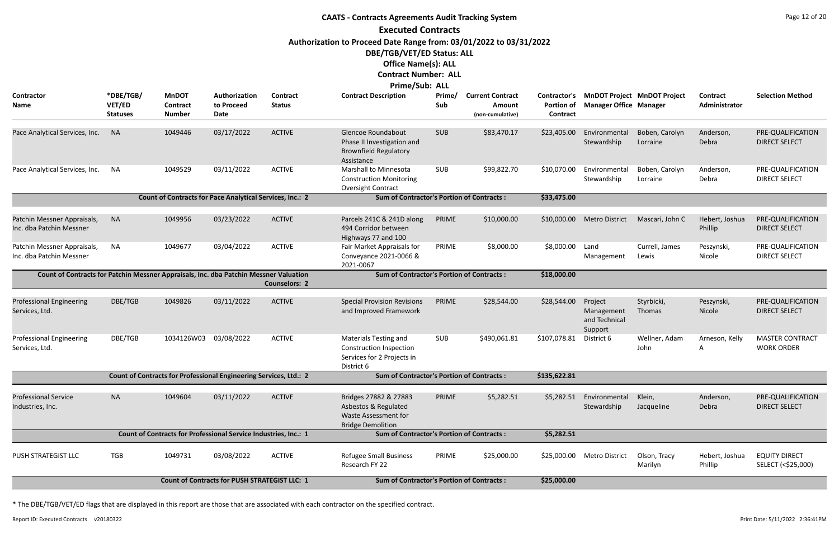## **CAATS - Contracts Agreements Audit Tracking System Executed Contracts Authorization to Proceed Date Range from: 03/01/2022 to 03/31/2022 DBE/TGB/VET/ED Status: ALL Office Name(s): ALL Contract Number: ALL Prime/Sub: ALL**

| <b>Contractor</b><br>Name                                                             | *DBE/TGB/<br>VET/ED<br><b>Statuses</b> | <b>MnDOT</b><br><b>Contract</b><br><b>Number</b> | Authorization<br>to Proceed<br><b>Date</b>                        | <b>Contract</b><br><b>Status</b> | LIIIIC/JUN. ULL<br><b>Contract Description</b>                                                      | Prime/<br>Sub | <b>Current Contract</b><br>Amount<br>(non-cumulative) | Contractor's<br><b>Portion of</b><br>Contract | <b>Manager Office Manager</b>                     | <b>MnDOT Project MnDOT Project</b> | <b>Contract</b><br>Administrator | <b>Selection Method</b>                     |
|---------------------------------------------------------------------------------------|----------------------------------------|--------------------------------------------------|-------------------------------------------------------------------|----------------------------------|-----------------------------------------------------------------------------------------------------|---------------|-------------------------------------------------------|-----------------------------------------------|---------------------------------------------------|------------------------------------|----------------------------------|---------------------------------------------|
| Pace Analytical Services, Inc.                                                        | <b>NA</b>                              | 1049446                                          | 03/17/2022                                                        | <b>ACTIVE</b>                    | Glencoe Roundabout<br>Phase II Investigation and<br><b>Brownfield Regulatory</b><br>Assistance      | <b>SUB</b>    | \$83,470.17                                           | \$23,405.00                                   | Environmental<br>Stewardship                      | Boben, Carolyn<br>Lorraine         | Anderson,<br>Debra               | PRE-QUALIFICATION<br><b>DIRECT SELECT</b>   |
| Pace Analytical Services, Inc.                                                        | NA                                     | 1049529                                          | 03/11/2022                                                        | <b>ACTIVE</b>                    | <b>Marshall to Minnesota</b><br><b>Construction Monitoring</b><br>Oversight Contract                | <b>SUB</b>    | \$99,822.70                                           | \$10,070.00                                   | Environmental<br>Stewardship                      | Boben, Carolyn<br>Lorraine         | Anderson,<br>Debra               | PRE-QUALIFICATION<br><b>DIRECT SELECT</b>   |
|                                                                                       |                                        |                                                  | <b>Count of Contracts for Pace Analytical Services, Inc.: 2</b>   |                                  | <b>Sum of Contractor's Portion of Contracts:</b>                                                    |               |                                                       | \$33,475.00                                   |                                                   |                                    |                                  |                                             |
| Patchin Messner Appraisals,<br>Inc. dba Patchin Messner                               | <b>NA</b>                              | 1049956                                          | 03/23/2022                                                        | <b>ACTIVE</b>                    | Parcels 241C & 241D along<br>494 Corridor between<br>Highways 77 and 100                            | PRIME         | \$10,000.00                                           | \$10,000.00                                   | <b>Metro District</b>                             | Mascari, John C                    | Hebert, Joshua<br>Phillip        | PRE-QUALIFICATION<br><b>DIRECT SELECT</b>   |
| Patchin Messner Appraisals,<br>Inc. dba Patchin Messner                               | NA                                     | 1049677                                          | 03/04/2022                                                        | <b>ACTIVE</b>                    | Fair Market Appraisals for<br>Conveyance 2021-0066 &<br>2021-0067                                   | PRIME         | \$8,000.00                                            | \$8,000.00                                    | Land<br>Management                                | Currell, James<br>Lewis            | Peszynski,<br>Nicole             | PRE-QUALIFICATION<br><b>DIRECT SELECT</b>   |
| Count of Contracts for Patchin Messner Appraisals, Inc. dba Patchin Messner Valuation |                                        |                                                  |                                                                   | <b>Counselors: 2</b>             | <b>Sum of Contractor's Portion of Contracts:</b>                                                    |               |                                                       | \$18,000.00                                   |                                                   |                                    |                                  |                                             |
| <b>Professional Engineering</b><br>Services, Ltd.                                     | DBE/TGB                                | 1049826                                          | 03/11/2022                                                        | <b>ACTIVE</b>                    | <b>Special Provision Revisions</b><br>and Improved Framework                                        | PRIME         | \$28,544.00                                           | \$28,544.00                                   | Project<br>Management<br>and Technical<br>Support | Styrbicki,<br>Thomas               | Peszynski,<br>Nicole             | PRE-QUALIFICATION<br><b>DIRECT SELECT</b>   |
| <b>Professional Engineering</b><br>Services, Ltd.                                     | DBE/TGB                                | 1034126W03                                       | 03/08/2022                                                        | <b>ACTIVE</b>                    | <b>Materials Testing and</b><br>Construction Inspection<br>Services for 2 Projects in<br>District 6 | SUB           | \$490,061.81                                          | \$107,078.81                                  | District 6                                        | Wellner, Adam<br>John              | Arneson, Kelly<br>A              | <b>MASTER CONTRACT</b><br><b>WORK ORDER</b> |
|                                                                                       |                                        |                                                  | Count of Contracts for Professional Engineering Services, Ltd.: 2 |                                  | <b>Sum of Contractor's Portion of Contracts:</b>                                                    |               |                                                       | \$135,622.81                                  |                                                   |                                    |                                  |                                             |
| <b>Professional Service</b><br>Industries, Inc.                                       | <b>NA</b>                              | 1049604                                          | 03/11/2022                                                        | <b>ACTIVE</b>                    | Bridges 27882 & 27883<br>Asbestos & Regulated<br>Waste Assessment for<br><b>Bridge Demolition</b>   | PRIME         | \$5,282.51                                            | \$5,282.51                                    | Environmental<br>Stewardship                      | Klein,<br>Jacqueline               | Anderson,<br>Debra               | PRE-QUALIFICATION<br><b>DIRECT SELECT</b>   |
|                                                                                       |                                        |                                                  | Count of Contracts for Professional Service Industries, Inc.: 1   |                                  | <b>Sum of Contractor's Portion of Contracts:</b>                                                    |               |                                                       | \$5,282.51                                    |                                                   |                                    |                                  |                                             |
| PUSH STRATEGIST LLC                                                                   | <b>TGB</b>                             | 1049731                                          | 03/08/2022                                                        | <b>ACTIVE</b>                    | <b>Refugee Small Business</b><br>Research FY 22                                                     | PRIME         | \$25,000.00                                           | \$25,000.00                                   | Metro District                                    | Olson, Tracy<br>Marilyn            | Hebert, Joshua<br>Phillip        | <b>EQUITY DIRECT</b><br>SELECT (<\$25,000)  |
|                                                                                       |                                        |                                                  | Count of Contracts for PUSH STRATEGIST LLC: 1                     |                                  | <b>Sum of Contractor's Portion of Contracts:</b>                                                    |               |                                                       | \$25,000.00                                   |                                                   |                                    |                                  |                                             |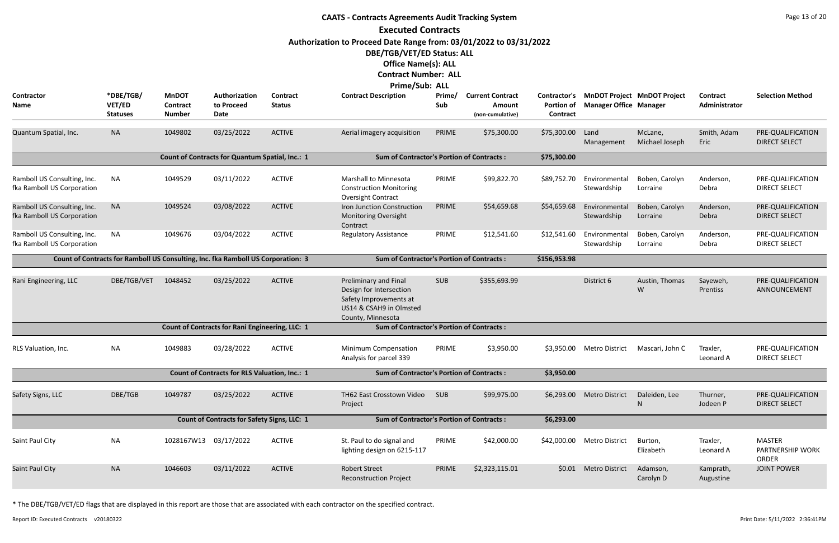|                                                           |                                                                                  |                                           |                                                      |                                  | <b>CAATS - Contracts Agreements Audit Tracking System</b>                                                                  |               |                                                              |                                                      |                               |                                    |                           | Page 13 of 20                                     |
|-----------------------------------------------------------|----------------------------------------------------------------------------------|-------------------------------------------|------------------------------------------------------|----------------------------------|----------------------------------------------------------------------------------------------------------------------------|---------------|--------------------------------------------------------------|------------------------------------------------------|-------------------------------|------------------------------------|---------------------------|---------------------------------------------------|
|                                                           |                                                                                  |                                           |                                                      |                                  | <b>Executed Contracts</b>                                                                                                  |               |                                                              |                                                      |                               |                                    |                           |                                                   |
|                                                           |                                                                                  |                                           |                                                      |                                  | Authorization to Proceed Date Range from: 03/01/2022 to 03/31/2022                                                         |               |                                                              |                                                      |                               |                                    |                           |                                                   |
|                                                           |                                                                                  |                                           |                                                      |                                  | DBE/TGB/VET/ED Status: ALL                                                                                                 |               |                                                              |                                                      |                               |                                    |                           |                                                   |
|                                                           |                                                                                  |                                           |                                                      |                                  | <b>Office Name(s): ALL</b>                                                                                                 |               |                                                              |                                                      |                               |                                    |                           |                                                   |
|                                                           |                                                                                  |                                           |                                                      |                                  | <b>Contract Number: ALL</b>                                                                                                |               |                                                              |                                                      |                               |                                    |                           |                                                   |
|                                                           |                                                                                  |                                           |                                                      |                                  | Prime/Sub: ALL                                                                                                             |               |                                                              |                                                      |                               |                                    |                           |                                                   |
| <b>Contractor</b><br>Name                                 | *DBE/TGB/<br>VET/ED<br><b>Statuses</b>                                           | <b>MnDOT</b><br>Contract<br><b>Number</b> | Authorization<br>to Proceed<br>Date                  | <b>Contract</b><br><b>Status</b> | <b>Contract Description</b>                                                                                                | Prime/<br>Sub | <b>Current Contract</b><br><b>Amount</b><br>(non-cumulative) | <b>Contractor's</b><br>Portion of<br><b>Contract</b> | <b>Manager Office Manager</b> | <b>MnDOT Project MnDOT Project</b> | Contract<br>Administrator | <b>Selection Method</b>                           |
| Quantum Spatial, Inc.                                     | <b>NA</b>                                                                        | 1049802                                   | 03/25/2022                                           | <b>ACTIVE</b>                    | Aerial imagery acquisition                                                                                                 | PRIME         | \$75,300.00                                                  | \$75,300.00                                          | Land<br>Management            | McLane,<br>Michael Joseph          | Smith, Adam<br>Eric       | PRE-QUALIFICATION<br><b>DIRECT SELECT</b>         |
|                                                           |                                                                                  |                                           | Count of Contracts for Quantum Spatial, Inc.: 1      |                                  | <b>Sum of Contractor's Portion of Contracts:</b>                                                                           |               |                                                              | \$75,300.00                                          |                               |                                    |                           |                                                   |
| Ramboll US Consulting, Inc.<br>fka Ramboll US Corporation | <b>NA</b>                                                                        | 1049529                                   | 03/11/2022                                           | <b>ACTIVE</b>                    | <b>Marshall to Minnesota</b><br><b>Construction Monitoring</b><br>Oversight Contract                                       | PRIME         | \$99,822.70                                                  | \$89,752.70                                          | Environmental<br>Stewardship  | Boben, Carolyn<br>Lorraine         | Anderson,<br>Debra        | PRE-QUALIFICATION<br><b>DIRECT SELECT</b>         |
| Ramboll US Consulting, Inc.<br>fka Ramboll US Corporation | <b>NA</b>                                                                        | 1049524                                   | 03/08/2022                                           | <b>ACTIVE</b>                    | Iron Junction Construction<br>Monitoring Oversight<br>Contract                                                             | PRIME         | \$54,659.68                                                  | \$54,659.68                                          | Environmental<br>Stewardship  | Boben, Carolyn<br>Lorraine         | Anderson,<br>Debra        | PRE-QUALIFICATION<br><b>DIRECT SELECT</b>         |
| Ramboll US Consulting, Inc.<br>fka Ramboll US Corporation | <b>NA</b>                                                                        | 1049676                                   | 03/04/2022                                           | <b>ACTIVE</b>                    | <b>Regulatory Assistance</b>                                                                                               | PRIME         | \$12,541.60                                                  | \$12,541.60                                          | Environmental<br>Stewardship  | Boben, Carolyn<br>Lorraine         | Anderson,<br>Debra        | PRE-QUALIFICATION<br><b>DIRECT SELECT</b>         |
|                                                           | Count of Contracts for Ramboll US Consulting, Inc. fka Ramboll US Corporation: 3 |                                           |                                                      |                                  | <b>Sum of Contractor's Portion of Contracts:</b>                                                                           |               |                                                              | \$156,953.98                                         |                               |                                    |                           |                                                   |
| Rani Engineering, LLC                                     | DBE/TGB/VET                                                                      | 1048452                                   | 03/25/2022                                           | <b>ACTIVE</b>                    | Preliminary and Final<br>Design for Intersection<br>Safety Improvements at<br>US14 & CSAH9 in Olmsted<br>County, Minnesota | <b>SUB</b>    | \$355,693.99                                                 |                                                      | District 6                    | Austin, Thomas<br>W                | Sayeweh,<br>Prentiss      | PRE-QUALIFICATION<br>ANNOUNCEMENT                 |
|                                                           |                                                                                  |                                           | Count of Contracts for Rani Engineering, LLC: 1      |                                  | <b>Sum of Contractor's Portion of Contracts:</b>                                                                           |               |                                                              |                                                      |                               |                                    |                           |                                                   |
| RLS Valuation, Inc.                                       | <b>NA</b>                                                                        | 1049883                                   | 03/28/2022                                           | <b>ACTIVE</b>                    | Minimum Compensation<br>Analysis for parcel 339                                                                            | PRIME         | \$3,950.00                                                   | \$3,950.00                                           | Metro District                | Mascari, John C                    | Traxler,<br>Leonard A     | PRE-QUALIFICATION<br><b>DIRECT SELECT</b>         |
|                                                           |                                                                                  |                                           | <b>Count of Contracts for RLS Valuation, Inc.: 1</b> |                                  | <b>Sum of Contractor's Portion of Contracts:</b>                                                                           |               |                                                              | \$3,950.00                                           |                               |                                    |                           |                                                   |
| Safety Signs, LLC                                         | DBE/TGB                                                                          | 1049787                                   | 03/25/2022                                           | <b>ACTIVE</b>                    | TH62 East Crosstown Video<br>Project                                                                                       | <b>SUB</b>    | \$99,975.00                                                  | \$6,293.00                                           | <b>Metro District</b>         | Daleiden, Lee<br>N                 | Thurner,<br>Jodeen P      | PRE-QUALIFICATION<br><b>DIRECT SELECT</b>         |
|                                                           |                                                                                  |                                           | Count of Contracts for Safety Signs, LLC: 1          |                                  | <b>Sum of Contractor's Portion of Contracts:</b>                                                                           |               |                                                              | \$6,293.00                                           |                               |                                    |                           |                                                   |
| Saint Paul City                                           | <b>NA</b>                                                                        | 1028167W13 03/17/2022                     |                                                      | <b>ACTIVE</b>                    | St. Paul to do signal and<br>lighting design on 6215-117                                                                   | PRIME         | \$42,000.00                                                  |                                                      | \$42,000.00 Metro District    | Burton,<br>Elizabeth               | Traxler,<br>Leonard A     | <b>MASTER</b><br>PARTNERSHIP WORK<br><b>ORDER</b> |
| Saint Paul City                                           | <b>NA</b>                                                                        | 1046603                                   | 03/11/2022                                           | <b>ACTIVE</b>                    | <b>Robert Street</b><br><b>Reconstruction Project</b>                                                                      | PRIME         | \$2,323,115.01                                               | \$0.01                                               | <b>Metro District</b>         | Adamson,<br>Carolyn D              | Kamprath,<br>Augustine    | <b>JOINT POWER</b>                                |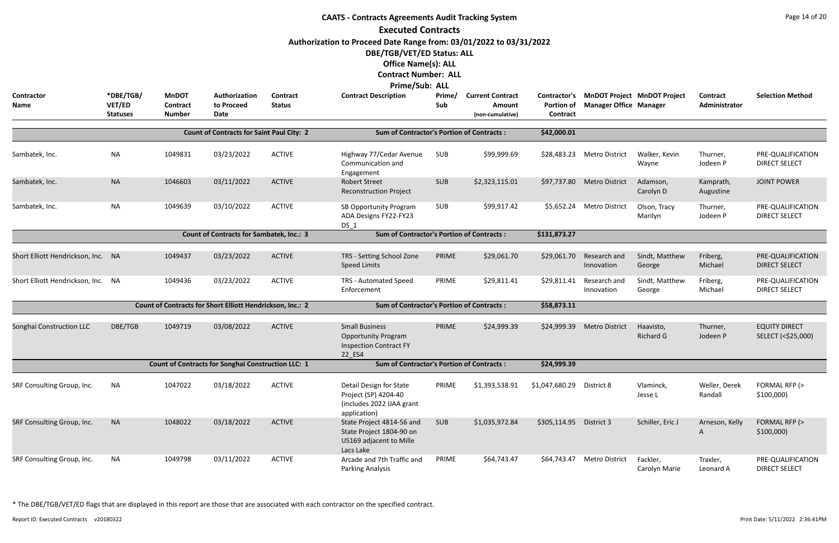|                                    |                                        |                                           |                                                           |                           | <b>CAATS - Contracts Agreements Audit Tracking System</b><br><b>Executed Contracts</b><br>Authorization to Proceed Date Range from: 03/01/2022 to 03/31/2022<br>DBE/TGB/VET/ED Status: ALL<br><b>Office Name(s): ALL</b><br><b>Contract Number: ALL</b> |               |                                                       |                                                      |                                                                     |                               |                           | Page 14 of 20                              |
|------------------------------------|----------------------------------------|-------------------------------------------|-----------------------------------------------------------|---------------------------|---------------------------------------------------------------------------------------------------------------------------------------------------------------------------------------------------------------------------------------------------------|---------------|-------------------------------------------------------|------------------------------------------------------|---------------------------------------------------------------------|-------------------------------|---------------------------|--------------------------------------------|
| Contractor<br>Name                 | *DBE/TGB/<br>VET/ED<br><b>Statuses</b> | <b>MnDOT</b><br>Contract<br><b>Number</b> | Authorization<br>to Proceed<br>Date                       | Contract<br><b>Status</b> | <b>Prime/Sub: ALL</b><br><b>Contract Description</b>                                                                                                                                                                                                    | Prime/<br>Sub | <b>Current Contract</b><br>Amount<br>(non-cumulative) | <b>Contractor's</b><br><b>Portion of</b><br>Contract | <b>MnDOT Project MnDOT Project</b><br><b>Manager Office Manager</b> |                               | Contract<br>Administrator | <b>Selection Method</b>                    |
|                                    |                                        |                                           | <b>Count of Contracts for Saint Paul City: 2</b>          |                           | <b>Sum of Contractor's Portion of Contracts:</b>                                                                                                                                                                                                        |               |                                                       | \$42,000.01                                          |                                                                     |                               |                           |                                            |
| Sambatek, Inc.                     | <b>NA</b>                              | 1049831                                   | 03/23/2022                                                | <b>ACTIVE</b>             | Highway 77/Cedar Avenue<br>Communication and<br>Engagement                                                                                                                                                                                              | SUB           | \$99,999.69                                           | \$28,483.23                                          | <b>Metro District</b>                                               | Walker, Kevin<br>Wayne        | Thurner,<br>Jodeen P      | PRE-QUALIFICATION<br><b>DIRECT SELECT</b>  |
| Sambatek, Inc.                     | <b>NA</b>                              | 1046603                                   | 03/11/2022                                                | <b>ACTIVE</b>             | <b>Robert Street</b><br><b>Reconstruction Project</b>                                                                                                                                                                                                   | <b>SUB</b>    | \$2,323,115.01                                        | \$97,737.80                                          | <b>Metro District</b>                                               | Adamson,<br>Carolyn D         | Kamprath,<br>Augustine    | <b>JOINT POWER</b>                         |
| Sambatek, Inc.                     | <b>NA</b>                              | 1049639                                   | 03/10/2022                                                | <b>ACTIVE</b>             | SB Opportunity Program<br>ADA Designs FY22-FY23<br>DS 1                                                                                                                                                                                                 | <b>SUB</b>    | \$99,917.42                                           | \$5,652.24                                           | <b>Metro District</b>                                               | Olson, Tracy<br>Marilyn       | Thurner,<br>Jodeen P      | PRE-QUALIFICATION<br><b>DIRECT SELECT</b>  |
|                                    |                                        |                                           | <b>Count of Contracts for Sambatek, Inc.: 3</b>           |                           | <b>Sum of Contractor's Portion of Contracts:</b>                                                                                                                                                                                                        |               |                                                       | \$131,873.27                                         |                                                                     |                               |                           |                                            |
| Short Elliott Hendrickson, Inc. NA |                                        | 1049437                                   | 03/23/2022                                                | <b>ACTIVE</b>             | TRS - Setting School Zone<br><b>Speed Limits</b>                                                                                                                                                                                                        | PRIME         | \$29,061.70                                           | \$29,061.70                                          | Research and<br>Innovation                                          | Sindt, Matthew<br>George      | Friberg,<br>Michael       | PRE-QUALIFICATION<br><b>DIRECT SELECT</b>  |
| Short Elliott Hendrickson, Inc. NA |                                        | 1049436                                   | 03/23/2022                                                | <b>ACTIVE</b>             | TRS - Automated Speed<br>Enforcement                                                                                                                                                                                                                    | PRIME         | \$29,811.41                                           | \$29,811.41                                          | Research and<br>Innovation                                          | Sindt, Matthew<br>George      | Friberg,<br>Michael       | PRE-QUALIFICATION<br><b>DIRECT SELECT</b>  |
|                                    |                                        |                                           | Count of Contracts for Short Elliott Hendrickson, Inc.: 2 |                           | <b>Sum of Contractor's Portion of Contracts:</b>                                                                                                                                                                                                        |               |                                                       | \$58,873.11                                          |                                                                     |                               |                           |                                            |
| Songhai Construction LLC           | DBE/TGB                                | 1049719                                   | 03/08/2022                                                | <b>ACTIVE</b>             | <b>Small Business</b><br><b>Opportunity Program</b><br><b>Inspection Contract FY</b><br>22_ES4                                                                                                                                                          | PRIME         | \$24,999.39                                           | \$24,999.39                                          | <b>Metro District</b>                                               | Haavisto,<br><b>Richard G</b> | Thurner,<br>Jodeen P      | <b>EQUITY DIRECT</b><br>SELECT (<\$25,000) |
|                                    |                                        |                                           | Count of Contracts for Songhai Construction LLC: 1        |                           | <b>Sum of Contractor's Portion of Contracts:</b>                                                                                                                                                                                                        |               |                                                       | \$24,999.39                                          |                                                                     |                               |                           |                                            |
| SRF Consulting Group, Inc.         | NA                                     | 1047022                                   | 03/18/2022                                                | <b>ACTIVE</b>             | Detail Design for State<br>Project (SP) 4204-40<br>(includes 2022 IJAA grant<br>application)                                                                                                                                                            | PRIME         | \$1,393,538.91                                        | \$1,047,680.29                                       | District 8                                                          | Vlaminck,<br>Jesse L          | Weller, Derek<br>Randall  | FORMAL RFP (><br>$$100,000$ )              |
| SRF Consulting Group, Inc.         | <b>NA</b>                              | 1048022                                   | 03/18/2022                                                | <b>ACTIVE</b>             | State Project 4814-56 and<br>State Project 1804-90 on<br>US169 adjacent to Mille<br>Lacs Lake                                                                                                                                                           | <b>SUB</b>    | \$1,035,972.84                                        | \$305,114.95 District 3                              |                                                                     | Schiller, Eric J              | Arneson, Kelly<br>A       | FORMAL RFP (><br>\$100,000                 |
| SRF Consulting Group, Inc.         | <b>NA</b>                              | 1049798                                   | 03/11/2022                                                | <b>ACTIVE</b>             | Arcade and 7th Traffic and<br>Parking Analysis                                                                                                                                                                                                          | PRIME         | \$64,743.47                                           | \$64,743.47                                          | <b>Metro District</b>                                               | Fackler,<br>Carolyn Marie     | Traxler,<br>Leonard A     | PRE-QUALIFICATION<br><b>DIRECT SELECT</b>  |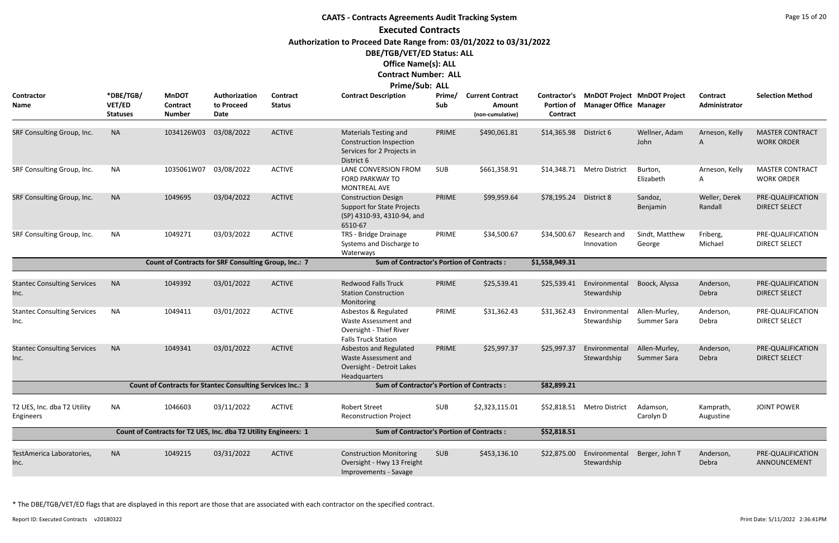# **CAATS - Contracts Agreements Audit Tracking System Executed Contracts Authorization to Proceed Date Range from: 03/01/2022 to 03/31/2022 DBE/TGB/VET/ED Status: ALL Office Name(s): ALL Contract Number: ALL**

|                                                 |                                               |                                           |                                                                   |                                  | Prime/Sub: ALL                                                                                             |               |                                                              |                                                      |                                                                     |                              |                           |                                             |
|-------------------------------------------------|-----------------------------------------------|-------------------------------------------|-------------------------------------------------------------------|----------------------------------|------------------------------------------------------------------------------------------------------------|---------------|--------------------------------------------------------------|------------------------------------------------------|---------------------------------------------------------------------|------------------------------|---------------------------|---------------------------------------------|
| Contractor<br>Name                              | *DBE/TGB/<br><b>VET/ED</b><br><b>Statuses</b> | <b>MnDOT</b><br>Contract<br><b>Number</b> | Authorization<br>to Proceed<br><b>Date</b>                        | <b>Contract</b><br><b>Status</b> | <b>Contract Description</b>                                                                                | Prime/<br>Sub | <b>Current Contract</b><br><b>Amount</b><br>(non-cumulative) | Contractor's<br><b>Portion of</b><br><b>Contract</b> | <b>MnDOT Project MnDOT Project</b><br><b>Manager Office Manager</b> |                              | Contract<br>Administrator | <b>Selection Method</b>                     |
| SRF Consulting Group, Inc.                      | <b>NA</b>                                     | 1034126W03                                | 03/08/2022                                                        | <b>ACTIVE</b>                    | <b>Materials Testing and</b><br><b>Construction Inspection</b><br>Services for 2 Projects in<br>District 6 | PRIME         | \$490,061.81                                                 | \$14,365.98                                          | District 6                                                          | Wellner, Adam<br>John        | Arneson, Kelly<br>A       | <b>MASTER CONTRACT</b><br><b>WORK ORDER</b> |
| SRF Consulting Group, Inc.                      | <b>NA</b>                                     | 1035061W07                                | 03/08/2022                                                        | <b>ACTIVE</b>                    | LANE CONVERSION FROM<br>FORD PARKWAY TO<br><b>MONTREAL AVE</b>                                             | <b>SUB</b>    | \$661,358.91                                                 |                                                      | \$14,348.71 Metro District                                          | Burton,<br>Elizabeth         | Arneson, Kelly<br>A       | <b>MASTER CONTRACT</b><br><b>WORK ORDER</b> |
| SRF Consulting Group, Inc.                      | <b>NA</b>                                     | 1049695                                   | 03/04/2022                                                        | <b>ACTIVE</b>                    | <b>Construction Design</b><br><b>Support for State Projects</b><br>(SP) 4310-93, 4310-94, and<br>6510-67   | PRIME         | \$99,959.64                                                  | \$78,195.24                                          | District 8                                                          | Sandoz,<br>Benjamin          | Weller, Derek<br>Randall  | PRE-QUALIFICATION<br><b>DIRECT SELECT</b>   |
| SRF Consulting Group, Inc.                      | <b>NA</b>                                     | 1049271                                   | 03/03/2022                                                        | <b>ACTIVE</b>                    | TRS - Bridge Drainage<br>Systems and Discharge to<br>Waterways                                             | PRIME         | \$34,500.67                                                  | \$34,500.67                                          | Research and<br>Innovation                                          | Sindt, Matthew<br>George     | Friberg,<br>Michael       | PRE-QUALIFICATION<br><b>DIRECT SELECT</b>   |
|                                                 |                                               |                                           | Count of Contracts for SRF Consulting Group, Inc.: 7              |                                  | <b>Sum of Contractor's Portion of Contracts:</b>                                                           |               |                                                              | \$1,558,949.31                                       |                                                                     |                              |                           |                                             |
| <b>Stantec Consulting Services</b><br>Inc.      | <b>NA</b>                                     | 1049392                                   | 03/01/2022                                                        | <b>ACTIVE</b>                    | <b>Redwood Falls Truck</b><br><b>Station Construction</b><br>Monitoring                                    | PRIME         | \$25,539.41                                                  | \$25,539.41                                          | Environmental<br>Stewardship                                        | Boock, Alyssa                | Anderson,<br>Debra        | PRE-QUALIFICATION<br><b>DIRECT SELECT</b>   |
| <b>Stantec Consulting Services</b><br>Inc.      | <b>NA</b>                                     | 1049411                                   | 03/01/2022                                                        | <b>ACTIVE</b>                    | Asbestos & Regulated<br>Waste Assessment and<br>Oversight - Thief River<br><b>Falls Truck Station</b>      | PRIME         | \$31,362.43                                                  | \$31,362.43                                          | Environmental<br>Stewardship                                        | Allen-Murley,<br>Summer Sara | Anderson,<br>Debra        | PRE-QUALIFICATION<br><b>DIRECT SELECT</b>   |
| <b>Stantec Consulting Services</b><br>Inc.      | <b>NA</b>                                     | 1049341                                   | 03/01/2022                                                        | <b>ACTIVE</b>                    | Asbestos and Regulated<br>Waste Assessment and<br>Oversight - Detroit Lakes<br>Headquarters                | PRIME         | \$25,997.37                                                  | \$25,997.37                                          | Environmental<br>Stewardship                                        | Allen-Murley,<br>Summer Sara | Anderson,<br>Debra        | PRE-QUALIFICATION<br><b>DIRECT SELECT</b>   |
|                                                 |                                               |                                           | <b>Count of Contracts for Stantec Consulting Services Inc.: 3</b> |                                  | <b>Sum of Contractor's Portion of Contracts:</b>                                                           |               |                                                              | \$82,899.21                                          |                                                                     |                              |                           |                                             |
| T2 UES, Inc. dba T2 Utility<br><b>Engineers</b> | <b>NA</b>                                     | 1046603                                   | 03/11/2022                                                        | <b>ACTIVE</b>                    | <b>Robert Street</b><br><b>Reconstruction Project</b>                                                      | <b>SUB</b>    | \$2,323,115.01                                               |                                                      | \$52,818.51 Metro District                                          | Adamson,<br>Carolyn D        | Kamprath,<br>Augustine    | <b>JOINT POWER</b>                          |
|                                                 |                                               |                                           | Count of Contracts for T2 UES, Inc. dba T2 Utility Engineers: 1   |                                  | <b>Sum of Contractor's Portion of Contracts:</b>                                                           |               |                                                              | \$52,818.51                                          |                                                                     |                              |                           |                                             |
| TestAmerica Laboratories,<br>Inc.               | <b>NA</b>                                     | 1049215                                   | 03/31/2022                                                        | <b>ACTIVE</b>                    | <b>Construction Monitoring</b><br>Oversight - Hwy 13 Freight<br>Improvements - Savage                      | <b>SUB</b>    | \$453,136.10                                                 | \$22,875.00                                          | Environmental<br>Stewardship                                        | Berger, John T               | Anderson,<br>Debra        | PRE-QUALIFICATION<br>ANNOUNCEMENT           |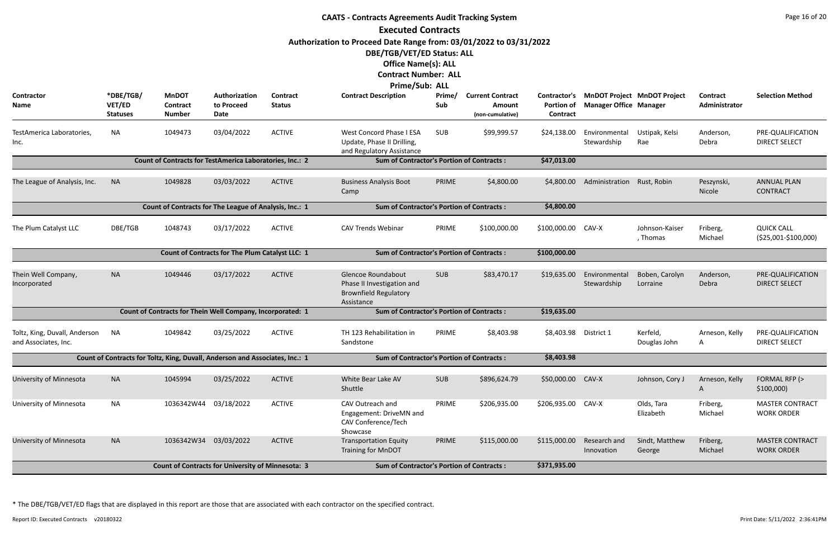|                                                       |                                        |                                                                              |                                                 |                           | <b>CAATS - Contracts Agreements Audit Tracking System</b>                                      |               |                                                       |                               |                                                                           |                            |                           | Page 16 of 20                               |
|-------------------------------------------------------|----------------------------------------|------------------------------------------------------------------------------|-------------------------------------------------|---------------------------|------------------------------------------------------------------------------------------------|---------------|-------------------------------------------------------|-------------------------------|---------------------------------------------------------------------------|----------------------------|---------------------------|---------------------------------------------|
|                                                       |                                        |                                                                              |                                                 |                           | <b>Executed Contracts</b>                                                                      |               |                                                       |                               |                                                                           |                            |                           |                                             |
|                                                       |                                        |                                                                              |                                                 |                           | Authorization to Proceed Date Range from: 03/01/2022 to 03/31/2022                             |               |                                                       |                               |                                                                           |                            |                           |                                             |
|                                                       |                                        |                                                                              |                                                 |                           | DBE/TGB/VET/ED Status: ALL                                                                     |               |                                                       |                               |                                                                           |                            |                           |                                             |
|                                                       |                                        |                                                                              |                                                 |                           | <b>Office Name(s): ALL</b>                                                                     |               |                                                       |                               |                                                                           |                            |                           |                                             |
|                                                       |                                        |                                                                              |                                                 |                           | <b>Contract Number: ALL</b>                                                                    |               |                                                       |                               |                                                                           |                            |                           |                                             |
|                                                       |                                        |                                                                              |                                                 |                           | <b>Prime/Sub: ALL</b>                                                                          |               |                                                       |                               |                                                                           |                            |                           |                                             |
| Contractor<br><b>Name</b>                             | *DBE/TGB/<br>VET/ED<br><b>Statuses</b> | <b>MnDOT</b><br><b>Contract</b><br><b>Number</b>                             | Authorization<br>to Proceed<br>Date             | Contract<br><b>Status</b> | <b>Contract Description</b>                                                                    | Prime/<br>Sub | <b>Current Contract</b><br>Amount<br>(non-cumulative) | <b>Portion of</b><br>Contract | Contractor's MnDOT Project MnDOT Project<br><b>Manager Office Manager</b> |                            | Contract<br>Administrator | <b>Selection Method</b>                     |
| TestAmerica Laboratories,<br>Inc.                     | <b>NA</b>                              | 1049473                                                                      | 03/04/2022                                      | <b>ACTIVE</b>             | <b>West Concord Phase I ESA</b><br>Update, Phase II Drilling,<br>and Regulatory Assistance     | <b>SUB</b>    | \$99,999.57                                           | \$24,138.00                   | Environmental<br>Stewardship                                              | Ustipak, Kelsi<br>Rae      | Anderson,<br>Debra        | PRE-QUALIFICATION<br><b>DIRECT SELECT</b>   |
|                                                       |                                        | Count of Contracts for TestAmerica Laboratories, Inc.: 2                     |                                                 |                           | <b>Sum of Contractor's Portion of Contracts:</b>                                               |               |                                                       | \$47,013.00                   |                                                                           |                            |                           |                                             |
| The League of Analysis, Inc.                          | <b>NA</b>                              | 1049828                                                                      | 03/03/2022                                      | <b>ACTIVE</b>             | <b>Business Analysis Boot</b>                                                                  | PRIME         | \$4,800.00                                            | \$4,800.00                    | Administration Rust, Robin                                                |                            | Peszynski,                | <b>ANNUAL PLAN</b>                          |
|                                                       |                                        |                                                                              |                                                 |                           | Camp                                                                                           |               |                                                       |                               |                                                                           |                            | Nicole                    | <b>CONTRACT</b>                             |
|                                                       |                                        | Count of Contracts for The League of Analysis, Inc.: 1                       |                                                 |                           | <b>Sum of Contractor's Portion of Contracts:</b>                                               |               |                                                       | \$4,800.00                    |                                                                           |                            |                           |                                             |
| The Plum Catalyst LLC                                 | DBE/TGB                                | 1048743                                                                      | 03/17/2022                                      | <b>ACTIVE</b>             | <b>CAV Trends Webinar</b>                                                                      | PRIME         | \$100,000.00                                          | \$100,000.00                  | CAV-X                                                                     | Johnson-Kaiser<br>, Thomas | Friberg,<br>Michael       | <b>QUICK CALL</b><br>(\$25,001-\$100,000)   |
|                                                       |                                        |                                                                              | Count of Contracts for The Plum Catalyst LLC: 1 |                           | <b>Sum of Contractor's Portion of Contracts:</b>                                               |               |                                                       | \$100,000.00                  |                                                                           |                            |                           |                                             |
| Thein Well Company,<br>Incorporated                   | <b>NA</b>                              | 1049446                                                                      | 03/17/2022                                      | <b>ACTIVE</b>             | Glencoe Roundabout<br>Phase II Investigation and<br><b>Brownfield Regulatory</b><br>Assistance | <b>SUB</b>    | \$83,470.17                                           | \$19,635.00                   | Environmental<br>Stewardship                                              | Boben, Carolyn<br>Lorraine | Anderson,<br>Debra        | PRE-QUALIFICATION<br><b>DIRECT SELECT</b>   |
|                                                       |                                        | Count of Contracts for Thein Well Company, Incorporated: 1                   |                                                 |                           | <b>Sum of Contractor's Portion of Contracts:</b>                                               |               |                                                       | \$19,635.00                   |                                                                           |                            |                           |                                             |
| Toltz, King, Duvall, Anderson<br>and Associates, Inc. | <b>NA</b>                              | 1049842                                                                      | 03/25/2022                                      | <b>ACTIVE</b>             | TH 123 Rehabilitation in<br>Sandstone                                                          | PRIME         | \$8,403.98                                            | \$8,403.98 District 1         |                                                                           | Kerfeld,<br>Douglas John   | Arneson, Kelly<br>A       | PRE-QUALIFICATION<br><b>DIRECT SELECT</b>   |
|                                                       |                                        | Count of Contracts for Toltz, King, Duvall, Anderson and Associates, Inc.: 1 |                                                 |                           | <b>Sum of Contractor's Portion of Contracts:</b>                                               |               |                                                       | \$8,403.98                    |                                                                           |                            |                           |                                             |
|                                                       |                                        |                                                                              |                                                 |                           |                                                                                                |               |                                                       |                               |                                                                           |                            |                           |                                             |
| University of Minnesota                               | <b>NA</b>                              | 1045994                                                                      | 03/25/2022                                      | <b>ACTIVE</b>             | White Bear Lake AV<br>Shuttle                                                                  | <b>SUB</b>    | \$896,624.79                                          | \$50,000.00                   | CAV-X                                                                     | Johnson, Cory J            | Arneson, Kelly<br>A       | FORMAL RFP (><br>\$100,000                  |
| University of Minnesota                               | <b>NA</b>                              | 1036342W44 03/18/2022                                                        |                                                 | <b>ACTIVE</b>             | CAV Outreach and<br>Engagement: DriveMN and<br>CAV Conference/Tech<br>Showcase                 | PRIME         | \$206,935.00                                          | \$206,935.00 CAV-X            |                                                                           | Olds, Tara<br>Elizabeth    | Friberg,<br>Michael       | <b>MASTER CONTRACT</b><br><b>WORK ORDER</b> |
| University of Minnesota                               | <b>NA</b>                              | 1036342W34 03/03/2022                                                        |                                                 | <b>ACTIVE</b>             | <b>Transportation Equity</b><br>Training for MnDOT                                             | PRIME         | \$115,000.00                                          | \$115,000.00                  | Research and<br>Innovation                                                | Sindt, Matthew<br>George   | Friberg,<br>Michael       | <b>MASTER CONTRACT</b><br><b>WORK ORDER</b> |
|                                                       |                                        | <b>Count of Contracts for University of Minnesota: 3</b>                     |                                                 |                           | <b>Sum of Contractor's Portion of Contracts:</b>                                               |               |                                                       | \$371,935.00                  |                                                                           |                            |                           |                                             |

Report ID: Executed Contracts v20180322 2:36:41PM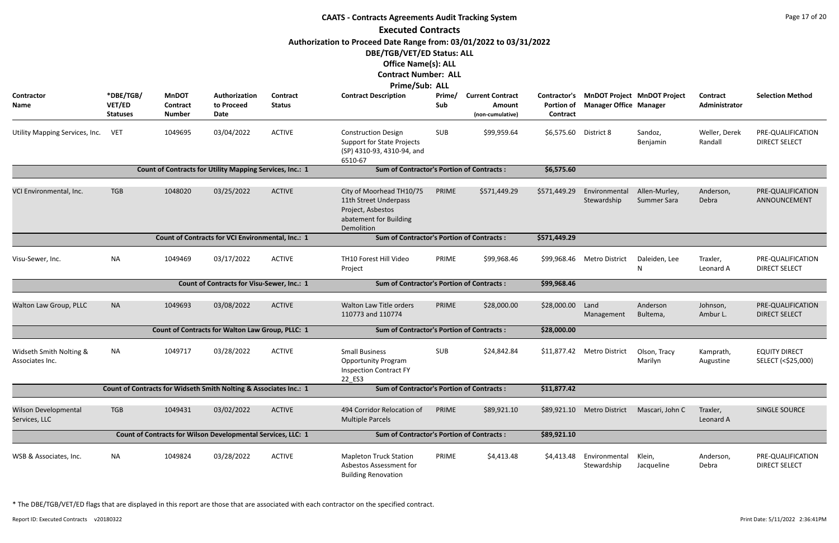|                                              |                                        |                                                  |                                                                   |                           | <b>CAATS - Contracts Agreements Audit Tracking System</b>                                                                                                                       |               |                                                       |                                               |                               |                                     |                                  | Page 17 of 20                              |
|----------------------------------------------|----------------------------------------|--------------------------------------------------|-------------------------------------------------------------------|---------------------------|---------------------------------------------------------------------------------------------------------------------------------------------------------------------------------|---------------|-------------------------------------------------------|-----------------------------------------------|-------------------------------|-------------------------------------|----------------------------------|--------------------------------------------|
|                                              |                                        |                                                  |                                                                   |                           | <b>Executed Contracts</b>                                                                                                                                                       |               |                                                       |                                               |                               |                                     |                                  |                                            |
|                                              |                                        |                                                  |                                                                   |                           | Authorization to Proceed Date Range from: 03/01/2022 to 03/31/2022<br>DBE/TGB/VET/ED Status: ALL<br><b>Office Name(s): ALL</b><br><b>Contract Number: ALL</b><br>Prime/Sub: ALL |               |                                                       |                                               |                               |                                     |                                  |                                            |
| Contractor<br><b>Name</b>                    | *DBE/TGB/<br>VET/ED<br><b>Statuses</b> | <b>MnDOT</b><br><b>Contract</b><br><b>Number</b> | Authorization<br>to Proceed<br>Date                               | Contract<br><b>Status</b> | <b>Contract Description</b>                                                                                                                                                     | Prime/<br>Sub | <b>Current Contract</b><br>Amount<br>(non-cumulative) | Contractor's<br><b>Portion of</b><br>Contract | <b>Manager Office Manager</b> | <b>MnDOT Project MnDOT Project</b>  | <b>Contract</b><br>Administrator | <b>Selection Method</b>                    |
| Utility Mapping Services, Inc.               | <b>VET</b>                             | 1049695                                          | 03/04/2022                                                        | <b>ACTIVE</b>             | <b>Construction Design</b><br><b>Support for State Projects</b><br>(SP) 4310-93, 4310-94, and<br>6510-67                                                                        | SUB           | \$99,959.64                                           | \$6,575.60 District 8                         |                               | Sandoz,<br>Benjamin                 | Weller, Derek<br>Randall         | PRE-QUALIFICATION<br><b>DIRECT SELECT</b>  |
|                                              |                                        |                                                  | Count of Contracts for Utility Mapping Services, Inc.: 1          |                           | <b>Sum of Contractor's Portion of Contracts:</b>                                                                                                                                |               |                                                       | \$6,575.60                                    |                               |                                     |                                  |                                            |
| VCI Environmental, Inc.                      | <b>TGB</b>                             | 1048020                                          | 03/25/2022                                                        | <b>ACTIVE</b>             | City of Moorhead TH10/75<br>11th Street Underpass<br>Project, Asbestos<br>abatement for Building<br>Demolition                                                                  | PRIME         | \$571,449.29                                          | \$571,449.29                                  | Environmental<br>Stewardship  | Allen-Murley,<br><b>Summer Sara</b> | Anderson,<br>Debra               | PRE-QUALIFICATION<br>ANNOUNCEMENT          |
|                                              |                                        |                                                  | Count of Contracts for VCI Environmental, Inc.: 1                 |                           | <b>Sum of Contractor's Portion of Contracts:</b>                                                                                                                                |               |                                                       | \$571,449.29                                  |                               |                                     |                                  |                                            |
| Visu-Sewer, Inc.                             | <b>NA</b>                              | 1049469                                          | 03/17/2022                                                        | <b>ACTIVE</b>             | TH10 Forest Hill Video<br>Project                                                                                                                                               | PRIME         | \$99,968.46                                           |                                               | \$99,968.46 Metro District    | Daleiden, Lee<br>N                  | Traxler,<br>Leonard A            | PRE-QUALIFICATION<br><b>DIRECT SELECT</b>  |
|                                              |                                        |                                                  | <b>Count of Contracts for Visu-Sewer, Inc.: 1</b>                 |                           | <b>Sum of Contractor's Portion of Contracts:</b>                                                                                                                                |               |                                                       | \$99,968.46                                   |                               |                                     |                                  |                                            |
| Walton Law Group, PLLC                       | <b>NA</b>                              | 1049693                                          | 03/08/2022                                                        | <b>ACTIVE</b>             | Walton Law Title orders<br>110773 and 110774                                                                                                                                    | PRIME         | \$28,000.00                                           | \$28,000.00                                   | Land<br>Management            | Anderson<br>Bultema,                | Johnson,<br>Ambur L.             | PRE-QUALIFICATION<br><b>DIRECT SELECT</b>  |
|                                              |                                        |                                                  | Count of Contracts for Walton Law Group, PLLC: 1                  |                           | <b>Sum of Contractor's Portion of Contracts:</b>                                                                                                                                |               |                                                       | \$28,000.00                                   |                               |                                     |                                  |                                            |
| Widseth Smith Nolting &<br>Associates Inc.   | NA                                     | 1049717                                          | 03/28/2022                                                        | <b>ACTIVE</b>             | <b>Small Business</b><br><b>Opportunity Program</b><br><b>Inspection Contract FY</b><br>22_ES3                                                                                  | SUB           | \$24,842.84                                           |                                               | \$11,877.42 Metro District    | Olson, Tracy<br>Marilyn             | Kamprath,<br>Augustine           | <b>EQUITY DIRECT</b><br>SELECT (<\$25,000) |
|                                              |                                        |                                                  | Count of Contracts for Widseth Smith Nolting & Associates Inc.: 1 |                           | <b>Sum of Contractor's Portion of Contracts:</b>                                                                                                                                |               |                                                       | \$11,877.42                                   |                               |                                     |                                  |                                            |
| <b>Wilson Developmental</b><br>Services, LLC | <b>TGB</b>                             | 1049431                                          | 03/02/2022                                                        | <b>ACTIVE</b>             | 494 Corridor Relocation of<br><b>Multiple Parcels</b>                                                                                                                           | PRIME         | \$89,921.10                                           | \$89,921.10                                   | <b>Metro District</b>         | Mascari, John C                     | Traxler,<br>Leonard A            | SINGLE SOURCE                              |
|                                              |                                        |                                                  | Count of Contracts for Wilson Developmental Services, LLC: 1      |                           | <b>Sum of Contractor's Portion of Contracts:</b>                                                                                                                                |               |                                                       | \$89,921.10                                   |                               |                                     |                                  |                                            |
| WSB & Associates, Inc.                       | <b>NA</b>                              | 1049824                                          | 03/28/2022                                                        | <b>ACTIVE</b>             | <b>Mapleton Truck Station</b><br>Asbestos Assessment for<br><b>Building Renovation</b>                                                                                          | PRIME         | \$4,413.48                                            | \$4,413.48                                    | Environmental<br>Stewardship  | Klein,<br>Jacqueline                | Anderson,<br>Debra               | PRE-QUALIFICATION<br><b>DIRECT SELECT</b>  |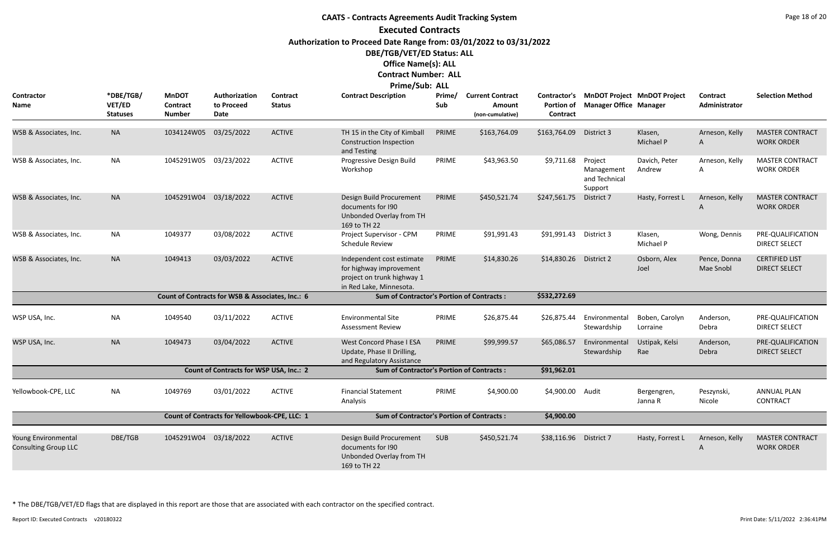## **CAATS - Contracts Agreements Audit Tracking System Executed Contracts Authorization to Proceed Date Range from: 03/01/2022 to 03/31/2022 DBE/TGB/VET/ED Status: ALL Office Name(s): ALL Contract Number: ALL Prime/Sub: ALL**

| <b>Contractor</b>                                  | *DBE/TGB/                 | <b>MnDOT</b>              | Authorization                                    | <b>Contract</b> | 11111C/JWW<br><b>Contract Description</b>                                                                     | Prime/ | <b>Current Contract</b>    |                        | Contractor's MnDOT Project MnDOT Project          |                            | <b>Contract</b>           | <b>Selection Method</b>                       |
|----------------------------------------------------|---------------------------|---------------------------|--------------------------------------------------|-----------------|---------------------------------------------------------------------------------------------------------------|--------|----------------------------|------------------------|---------------------------------------------------|----------------------------|---------------------------|-----------------------------------------------|
| Name                                               | VET/ED<br><b>Statuses</b> | Contract<br><b>Number</b> | to Proceed<br>Date                               | <b>Status</b>   |                                                                                                               | Sub    | Amount<br>(non-cumulative) | Portion of<br>Contract | <b>Manager Office Manager</b>                     |                            | Administrator             |                                               |
| WSB & Associates, Inc.                             | <b>NA</b>                 | 1034124W05                | 03/25/2022                                       | <b>ACTIVE</b>   | TH 15 in the City of Kimball<br>Construction Inspection<br>and Testing                                        | PRIME  | \$163,764.09               | \$163,764.09           | District 3                                        | Klasen,<br>Michael P       | Arneson, Kelly<br>A       | <b>MASTER CONTRACT</b><br><b>WORK ORDER</b>   |
| WSB & Associates, Inc.                             | NA                        | 1045291W05                | 03/23/2022                                       | <b>ACTIVE</b>   | Progressive Design Build<br>Workshop                                                                          | PRIME  | \$43,963.50                | \$9,711.68             | Project<br>Management<br>and Technical<br>Support | Davich, Peter<br>Andrew    | Arneson, Kelly<br>A       | <b>MASTER CONTRACT</b><br><b>WORK ORDER</b>   |
| WSB & Associates, Inc.                             | <b>NA</b>                 | 1045291W04                | 03/18/2022                                       | <b>ACTIVE</b>   | Design Build Procurement<br>documents for 190<br>Unbonded Overlay from TH<br>169 to TH 22                     | PRIME  | \$450,521.74               | \$247,561.75           | District 7                                        | Hasty, Forrest L           | Arneson, Kelly<br>A       | <b>MASTER CONTRACT</b><br><b>WORK ORDER</b>   |
| WSB & Associates, Inc.                             | <b>NA</b>                 | 1049377                   | 03/08/2022                                       | <b>ACTIVE</b>   | Project Supervisor - CPM<br><b>Schedule Review</b>                                                            | PRIME  | \$91,991.43                | \$91,991.43            | District 3                                        | Klasen,<br>Michael P       | Wong, Dennis              | PRE-QUALIFICATION<br><b>DIRECT SELECT</b>     |
| WSB & Associates, Inc.                             | <b>NA</b>                 | 1049413                   | 03/03/2022                                       | <b>ACTIVE</b>   | Independent cost estimate<br>for highway improvement<br>project on trunk highway 1<br>in Red Lake, Minnesota. | PRIME  | \$14,830.26                | \$14,830.26 District 2 |                                                   | Osborn, Alex<br>Joel       | Pence, Donna<br>Mae Snobl | <b>CERTIFIED LIST</b><br><b>DIRECT SELECT</b> |
|                                                    |                           |                           | Count of Contracts for WSB & Associates, Inc.: 6 |                 | <b>Sum of Contractor's Portion of Contracts:</b>                                                              |        |                            | \$532,272.69           |                                                   |                            |                           |                                               |
| WSP USA, Inc.                                      | <b>NA</b>                 | 1049540                   | 03/11/2022                                       | <b>ACTIVE</b>   | <b>Environmental Site</b><br><b>Assessment Review</b>                                                         | PRIME  | \$26,875.44                | \$26,875.44            | Environmental<br>Stewardship                      | Boben, Carolyn<br>Lorraine | Anderson,<br>Debra        | PRE-QUALIFICATION<br>DIRECT SELECT            |
| WSP USA, Inc.                                      | <b>NA</b>                 | 1049473                   | 03/04/2022                                       | <b>ACTIVE</b>   | West Concord Phase I ESA<br>Update, Phase II Drilling,<br>and Regulatory Assistance                           | PRIME  | \$99,999.57                | \$65,086.57            | Environmental<br>Stewardship                      | Ustipak, Kelsi<br>Rae      | Anderson,<br>Debra        | PRE-QUALIFICATION<br><b>DIRECT SELECT</b>     |
|                                                    |                           |                           | Count of Contracts for WSP USA, Inc.: 2          |                 | <b>Sum of Contractor's Portion of Contracts:</b>                                                              |        |                            | \$91,962.01            |                                                   |                            |                           |                                               |
| Yellowbook-CPE, LLC                                | ΝA                        | 1049769                   | 03/01/2022                                       | <b>ACTIVE</b>   | <b>Financial Statement</b><br>Analysis                                                                        | PRIME  | \$4,900.00                 | \$4,900.00 Audit       |                                                   | Bergengren,<br>Janna R     | Peszynski,<br>Nicole      | ANNUAL PLAN<br><b>CONTRACT</b>                |
|                                                    |                           |                           | Count of Contracts for Yellowbook-CPE, LLC: 1    |                 | <b>Sum of Contractor's Portion of Contracts:</b>                                                              |        |                            | \$4,900.00             |                                                   |                            |                           |                                               |
| Young Environmental<br><b>Consulting Group LLC</b> | DBE/TGB                   | 1045291W04 03/18/2022     |                                                  | ACTIVE          | Design Build Procurement<br>documents for I90<br>Unbonded Overlay from TH<br>169 to TH 22                     | SUB    | \$450,521.74               | \$38,116.96 District 7 |                                                   | Hasty, Forrest L           | Arneson, Kelly<br>A       | <b>MASTER CONTRACT</b><br><b>WORK ORDER</b>   |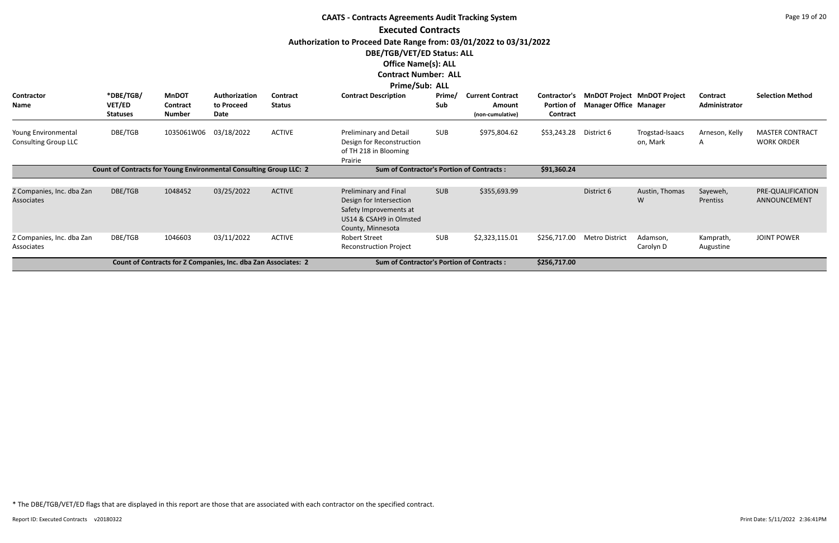|                                                    |                                                                    |                                           |                                                                |                                  | <b>CAATS - Contracts Agreements Audit Tracking System</b>                                                                  |               |                                                       |                                               |                               |                                    |                           | Page 19 of 20                               |
|----------------------------------------------------|--------------------------------------------------------------------|-------------------------------------------|----------------------------------------------------------------|----------------------------------|----------------------------------------------------------------------------------------------------------------------------|---------------|-------------------------------------------------------|-----------------------------------------------|-------------------------------|------------------------------------|---------------------------|---------------------------------------------|
|                                                    |                                                                    |                                           |                                                                |                                  | <b>Executed Contracts</b>                                                                                                  |               |                                                       |                                               |                               |                                    |                           |                                             |
|                                                    |                                                                    |                                           |                                                                |                                  | Authorization to Proceed Date Range from: 03/01/2022 to 03/31/2022                                                         |               |                                                       |                                               |                               |                                    |                           |                                             |
|                                                    |                                                                    |                                           |                                                                |                                  | <b>DBE/TGB/VET/ED Status: ALL</b>                                                                                          |               |                                                       |                                               |                               |                                    |                           |                                             |
|                                                    |                                                                    |                                           |                                                                |                                  | <b>Office Name(s): ALL</b>                                                                                                 |               |                                                       |                                               |                               |                                    |                           |                                             |
|                                                    |                                                                    |                                           |                                                                |                                  | <b>Contract Number: ALL</b>                                                                                                |               |                                                       |                                               |                               |                                    |                           |                                             |
|                                                    |                                                                    |                                           |                                                                |                                  | <b>Prime/Sub: ALL</b>                                                                                                      |               |                                                       |                                               |                               |                                    |                           |                                             |
| Contractor<br><b>Name</b>                          | *DBE/TGB/<br>VET/ED<br><b>Statuses</b>                             | <b>MnDOT</b><br>Contract<br><b>Number</b> | Authorization<br>to Proceed<br>Date                            | <b>Contract</b><br><b>Status</b> | <b>Contract Description</b>                                                                                                | Prime/<br>Sub | <b>Current Contract</b><br>Amount<br>(non-cumulative) | Contractor's<br><b>Portion of</b><br>Contract | <b>Manager Office Manager</b> | <b>MnDOT Project MnDOT Project</b> | Contract<br>Administrator | <b>Selection Method</b>                     |
| Young Environmental<br><b>Consulting Group LLC</b> | DBE/TGB                                                            | 1035061W06                                | 03/18/2022                                                     | <b>ACTIVE</b>                    | Preliminary and Detail<br>Design for Reconstruction<br>of TH 218 in Blooming<br>Prairie                                    | <b>SUB</b>    | \$975,804.62                                          | \$53,243.28                                   | District 6                    | Trogstad-Isaacs<br>on, Mark        | Arneson, Kelly<br>A       | <b>MASTER CONTRACT</b><br><b>WORK ORDER</b> |
|                                                    | Count of Contracts for Young Environmental Consulting Group LLC: 2 |                                           |                                                                |                                  | <b>Sum of Contractor's Portion of Contracts:</b>                                                                           |               |                                                       | \$91,360.24                                   |                               |                                    |                           |                                             |
| Z Companies, Inc. dba Zan<br><b>Associates</b>     | DBE/TGB                                                            | 1048452                                   | 03/25/2022                                                     | <b>ACTIVE</b>                    | Preliminary and Final<br>Design for Intersection<br>Safety Improvements at<br>US14 & CSAH9 in Olmsted<br>County, Minnesota | <b>SUB</b>    | \$355,693.99                                          |                                               | District 6                    | Austin, Thomas<br>W                | Sayeweh,<br>Prentiss      | PRE-QUALIFICATION<br>ANNOUNCEMENT           |
| Z Companies, Inc. dba Zan<br>Associates            | DBE/TGB                                                            | 1046603                                   | 03/11/2022                                                     | <b>ACTIVE</b>                    | <b>Robert Street</b><br><b>Reconstruction Project</b>                                                                      | <b>SUB</b>    | \$2,323,115.01                                        | \$256,717.00                                  | <b>Metro District</b>         | Adamson,<br>Carolyn D              | Kamprath,<br>Augustine    | <b>JOINT POWER</b>                          |
|                                                    |                                                                    |                                           | Count of Contracts for Z Companies, Inc. dba Zan Associates: 2 |                                  | <b>Sum of Contractor's Portion of Contracts:</b>                                                                           |               |                                                       | \$256,717.00                                  |                               |                                    |                           |                                             |